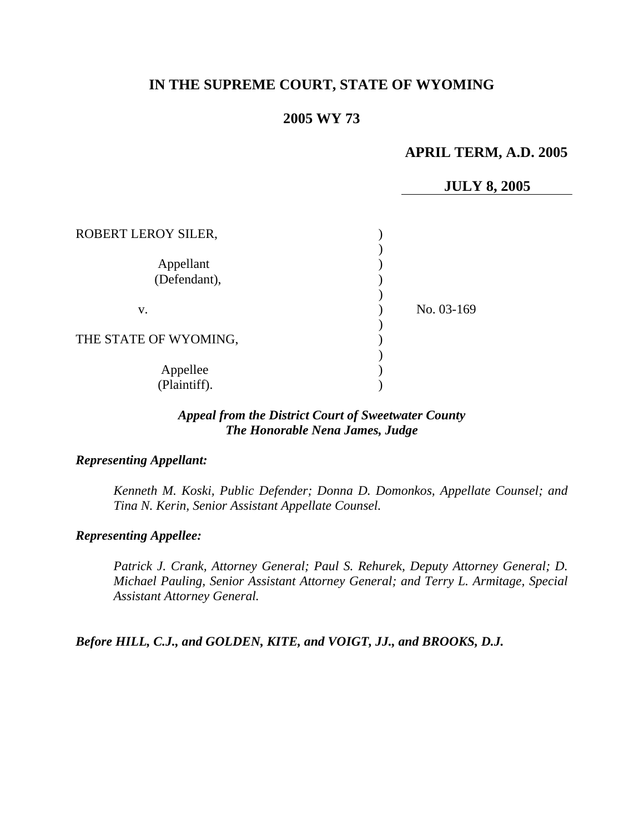# **IN THE SUPREME COURT, STATE OF WYOMING**

## **2005 WY 73**

## **APRIL TERM, A.D. 2005**

## **JULY 8, 2005**

| ROBERT LEROY SILER,       |            |
|---------------------------|------------|
| Appellant<br>(Defendant), |            |
| v.                        | No. 03-169 |
| THE STATE OF WYOMING,     |            |
| Appellee<br>(Plaintiff).  |            |

## *Appeal from the District Court of Sweetwater County The Honorable Nena James, Judge*

#### *Representing Appellant:*

*Kenneth M. Koski, Public Defender; Donna D. Domonkos, Appellate Counsel; and Tina N. Kerin, Senior Assistant Appellate Counsel.* 

#### *Representing Appellee:*

*Patrick J. Crank, Attorney General; Paul S. Rehurek, Deputy Attorney General; D. Michael Pauling, Senior Assistant Attorney General; and Terry L. Armitage, Special Assistant Attorney General.* 

*Before HILL, C.J., and GOLDEN, KITE, and VOIGT, JJ., and BROOKS, D.J.*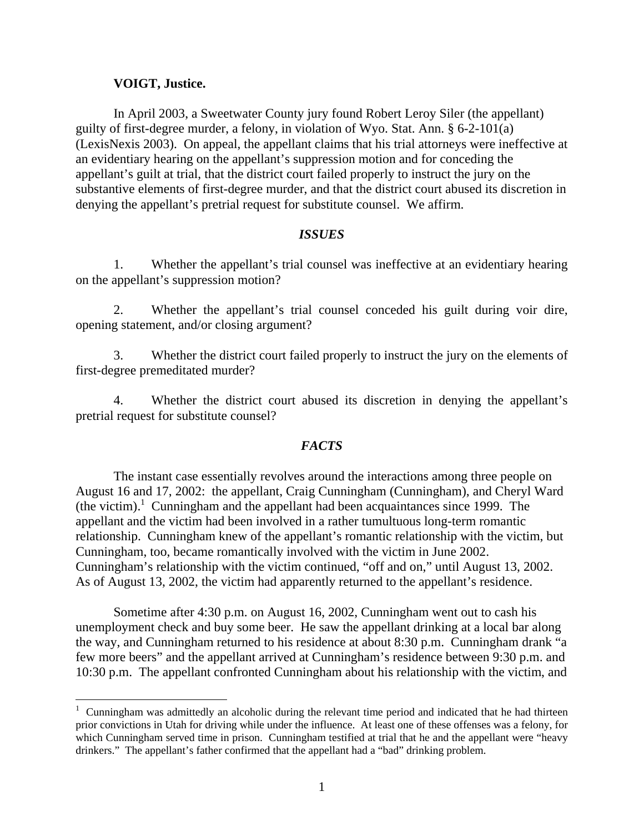## **VOIGT, Justice.**

 $\overline{a}$ 

In April 2003, a Sweetwater County jury found Robert Leroy Siler (the appellant) guilty of first-degree murder, a felony, in violation of Wyo. Stat. Ann. § 6-2-101(a) (LexisNexis 2003). On appeal, the appellant claims that his trial attorneys were ineffective at an evidentiary hearing on the appellant's suppression motion and for conceding the appellant's guilt at trial, that the district court failed properly to instruct the jury on the substantive elements of first-degree murder, and that the district court abused its discretion in denying the appellant's pretrial request for substitute counsel. We affirm.

### *ISSUES*

1. Whether the appellant's trial counsel was ineffective at an evidentiary hearing on the appellant's suppression motion?

2. Whether the appellant's trial counsel conceded his guilt during voir dire, opening statement, and/or closing argument?

3. Whether the district court failed properly to instruct the jury on the elements of first-degree premeditated murder?

4. Whether the district court abused its discretion in denying the appellant's pretrial request for substitute counsel?

## *FACTS*

The instant case essentially revolves around the interactions among three people on August 16 and 17, 2002: the appellant, Craig Cunningham (Cunningham), and Cheryl Ward (the victim). 1 Cunningham and the appellant had been acquaintances since 1999. The appellant and the victim had been involved in a rather tumultuous long-term romantic relationship. Cunningham knew of the appellant's romantic relationship with the victim, but Cunningham, too, became romantically involved with the victim in June 2002. Cunningham's relationship with the victim continued, "off and on," until August 13, 2002. As of August 13, 2002, the victim had apparently returned to the appellant's residence.

Sometime after 4:30 p.m. on August 16, 2002, Cunningham went out to cash his unemployment check and buy some beer. He saw the appellant drinking at a local bar along the way, and Cunningham returned to his residence at about 8:30 p.m. Cunningham drank "a few more beers" and the appellant arrived at Cunningham's residence between 9:30 p.m. and 10:30 p.m. The appellant confronted Cunningham about his relationship with the victim, and

<sup>1</sup> Cunningham was admittedly an alcoholic during the relevant time period and indicated that he had thirteen prior convictions in Utah for driving while under the influence. At least one of these offenses was a felony, for which Cunningham served time in prison. Cunningham testified at trial that he and the appellant were "heavy drinkers." The appellant's father confirmed that the appellant had a "bad" drinking problem.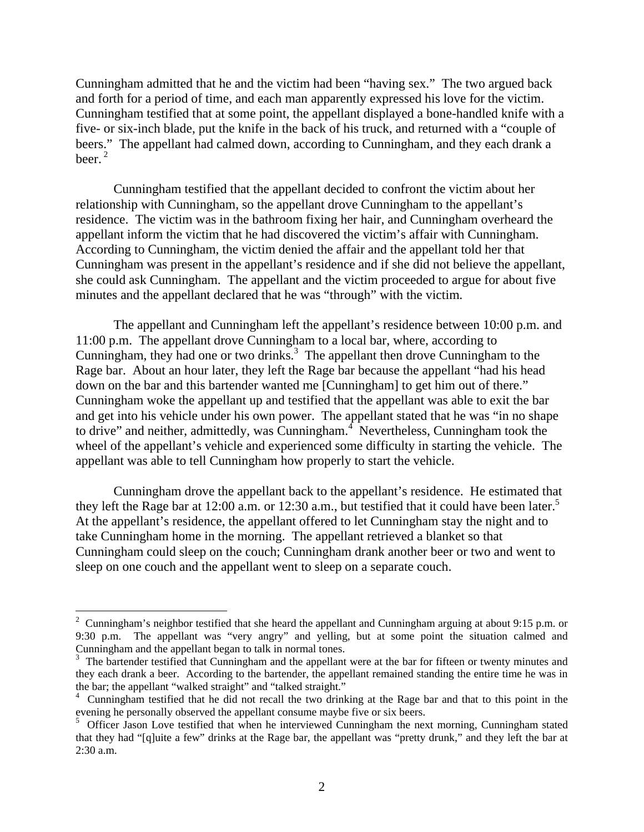Cunningham admitted that he and the victim had been "having sex." The two argued back and forth for a period of time, and each man apparently expressed his love for the victim. Cunningham testified that at some point, the appellant displayed a bone-handled knife with a five- or six-inch blade, put the knife in the back of his truck, and returned with a "couple of beers." The appellant had calmed down, according to Cunningham, and they each drank a heer $^2$ 

Cunningham testified that the appellant decided to confront the victim about her relationship with Cunningham, so the appellant drove Cunningham to the appellant's residence. The victim was in the bathroom fixing her hair, and Cunningham overheard the appellant inform the victim that he had discovered the victim's affair with Cunningham. According to Cunningham, the victim denied the affair and the appellant told her that Cunningham was present in the appellant's residence and if she did not believe the appellant, she could ask Cunningham. The appellant and the victim proceeded to argue for about five minutes and the appellant declared that he was "through" with the victim.

The appellant and Cunningham left the appellant's residence between 10:00 p.m. and 11:00 p.m. The appellant drove Cunningham to a local bar, where, according to Cunningham, they had one or two drinks. $3$  The appellant then drove Cunningham to the Rage bar. About an hour later, they left the Rage bar because the appellant "had his head down on the bar and this bartender wanted me [Cunningham] to get him out of there." Cunningham woke the appellant up and testified that the appellant was able to exit the bar and get into his vehicle under his own power. The appellant stated that he was "in no shape to drive" and neither, admittedly, was Cunningham.<sup>4</sup> Nevertheless, Cunningham took the wheel of the appellant's vehicle and experienced some difficulty in starting the vehicle. The appellant was able to tell Cunningham how properly to start the vehicle.

Cunningham drove the appellant back to the appellant's residence. He estimated that they left the Rage bar at 12:00 a.m. or 12:30 a.m., but testified that it could have been later.<sup>5</sup> At the appellant's residence, the appellant offered to let Cunningham stay the night and to take Cunningham home in the morning. The appellant retrieved a blanket so that Cunningham could sleep on the couch; Cunningham drank another beer or two and went to sleep on one couch and the appellant went to sleep on a separate couch.

<sup>&</sup>lt;sup>2</sup> Cunningham's neighbor testified that she heard the appellant and Cunningham arguing at about 9:15 p.m. or 9:30 p.m. The appellant was "very angry" and yelling, but at some point the situation calmed and Cunningham and the appellant began to talk in normal tones.

<sup>&</sup>lt;sup>3</sup> The bartender testified that Cunningham and the appellant were at the bar for fifteen or twenty minutes and they each drank a beer. According to the bartender, the appellant remained standing the entire time he was in the bar; the appellant "walked straight" and "talked straight."

<sup>&</sup>lt;sup>4</sup> Cunningham testified that he did not recall the two drinking at the Rage bar and that to this point in the evening he personally observed the appellant consume maybe five or six beers.

<sup>5</sup> Officer Jason Love testified that when he interviewed Cunningham the next morning, Cunningham stated that they had "[q]uite a few" drinks at the Rage bar, the appellant was "pretty drunk," and they left the bar at 2:30 a.m.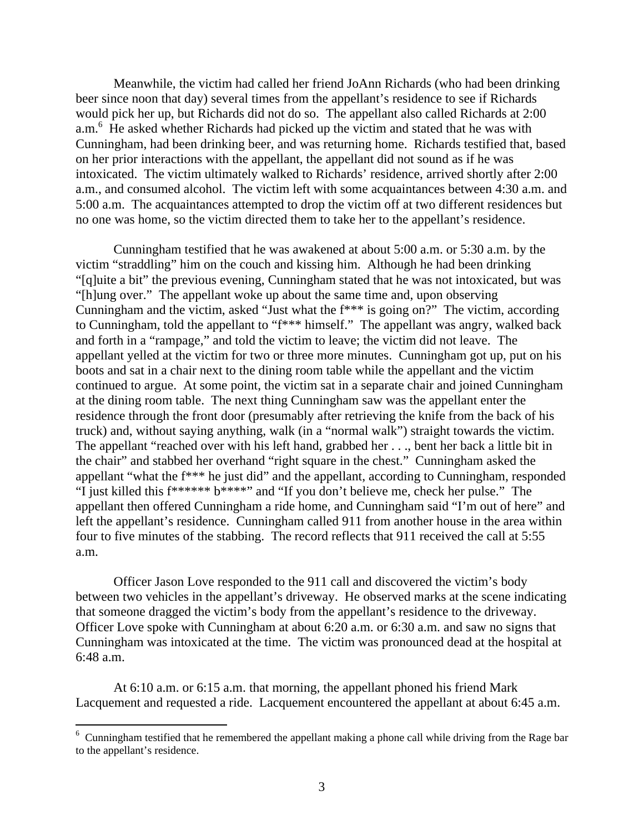Meanwhile, the victim had called her friend JoAnn Richards (who had been drinking beer since noon that day) several times from the appellant's residence to see if Richards would pick her up, but Richards did not do so. The appellant also called Richards at 2:00 a.m.<sup>6</sup> He asked whether Richards had picked up the victim and stated that he was with Cunningham, had been drinking beer, and was returning home. Richards testified that, based on her prior interactions with the appellant, the appellant did not sound as if he was intoxicated. The victim ultimately walked to Richards' residence, arrived shortly after 2:00 a.m., and consumed alcohol. The victim left with some acquaintances between 4:30 a.m. and 5:00 a.m. The acquaintances attempted to drop the victim off at two different residences but no one was home, so the victim directed them to take her to the appellant's residence.

Cunningham testified that he was awakened at about 5:00 a.m. or 5:30 a.m. by the victim "straddling" him on the couch and kissing him. Although he had been drinking "[q]uite a bit" the previous evening, Cunningham stated that he was not intoxicated, but was "[h]ung over." The appellant woke up about the same time and, upon observing Cunningham and the victim, asked "Just what the f\*\*\* is going on?" The victim, according to Cunningham, told the appellant to "f\*\*\* himself." The appellant was angry, walked back and forth in a "rampage," and told the victim to leave; the victim did not leave. The appellant yelled at the victim for two or three more minutes. Cunningham got up, put on his boots and sat in a chair next to the dining room table while the appellant and the victim continued to argue. At some point, the victim sat in a separate chair and joined Cunningham at the dining room table. The next thing Cunningham saw was the appellant enter the residence through the front door (presumably after retrieving the knife from the back of his truck) and, without saying anything, walk (in a "normal walk") straight towards the victim. The appellant "reached over with his left hand, grabbed her . . ., bent her back a little bit in the chair" and stabbed her overhand "right square in the chest." Cunningham asked the appellant "what the f\*\*\* he just did" and the appellant, according to Cunningham, responded "I just killed this f\*\*\*\*\*\* b\*\*\*\*" and "If you don't believe me, check her pulse." The appellant then offered Cunningham a ride home, and Cunningham said "I'm out of here" and left the appellant's residence. Cunningham called 911 from another house in the area within four to five minutes of the stabbing. The record reflects that 911 received the call at 5:55 a.m.

Officer Jason Love responded to the 911 call and discovered the victim's body between two vehicles in the appellant's driveway. He observed marks at the scene indicating that someone dragged the victim's body from the appellant's residence to the driveway. Officer Love spoke with Cunningham at about 6:20 a.m. or 6:30 a.m. and saw no signs that Cunningham was intoxicated at the time. The victim was pronounced dead at the hospital at 6:48 a.m.

At 6:10 a.m. or 6:15 a.m. that morning, the appellant phoned his friend Mark Lacquement and requested a ride. Lacquement encountered the appellant at about 6:45 a.m.

 $6$  Cunningham testified that he remembered the appellant making a phone call while driving from the Rage bar to the appellant's residence.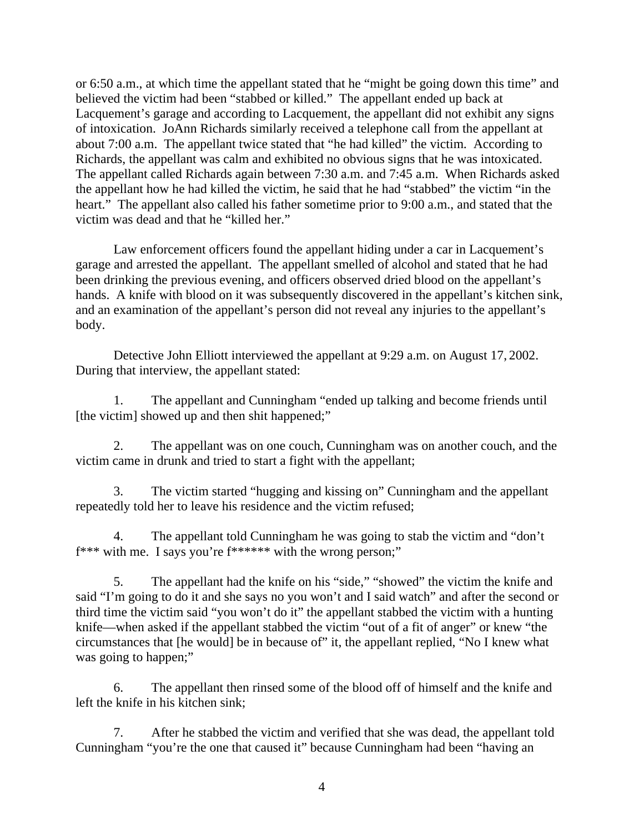or 6:50 a.m., at which time the appellant stated that he "might be going down this time" and believed the victim had been "stabbed or killed." The appellant ended up back at Lacquement's garage and according to Lacquement, the appellant did not exhibit any signs of intoxication. JoAnn Richards similarly received a telephone call from the appellant at about 7:00 a.m. The appellant twice stated that "he had killed" the victim. According to Richards, the appellant was calm and exhibited no obvious signs that he was intoxicated. The appellant called Richards again between 7:30 a.m. and 7:45 a.m. When Richards asked the appellant how he had killed the victim, he said that he had "stabbed" the victim "in the heart." The appellant also called his father sometime prior to 9:00 a.m., and stated that the victim was dead and that he "killed her."

 Law enforcement officers found the appellant hiding under a car in Lacquement's garage and arrested the appellant. The appellant smelled of alcohol and stated that he had been drinking the previous evening, and officers observed dried blood on the appellant's hands. A knife with blood on it was subsequently discovered in the appellant's kitchen sink, and an examination of the appellant's person did not reveal any injuries to the appellant's body.

Detective John Elliott interviewed the appellant at 9:29 a.m. on August 17, 2002. During that interview, the appellant stated:

1. The appellant and Cunningham "ended up talking and become friends until [the victim] showed up and then shit happened;"

2. The appellant was on one couch, Cunningham was on another couch, and the victim came in drunk and tried to start a fight with the appellant;

3. The victim started "hugging and kissing on" Cunningham and the appellant repeatedly told her to leave his residence and the victim refused;

4. The appellant told Cunningham he was going to stab the victim and "don't f\*\*\* with me. I says you're f\*\*\*\*\*\* with the wrong person;"

5. The appellant had the knife on his "side," "showed" the victim the knife and said "I'm going to do it and she says no you won't and I said watch" and after the second or third time the victim said "you won't do it" the appellant stabbed the victim with a hunting knife—when asked if the appellant stabbed the victim "out of a fit of anger" or knew "the circumstances that [he would] be in because of" it, the appellant replied, "No I knew what was going to happen;"

6. The appellant then rinsed some of the blood off of himself and the knife and left the knife in his kitchen sink;

7. After he stabbed the victim and verified that she was dead, the appellant told Cunningham "you're the one that caused it" because Cunningham had been "having an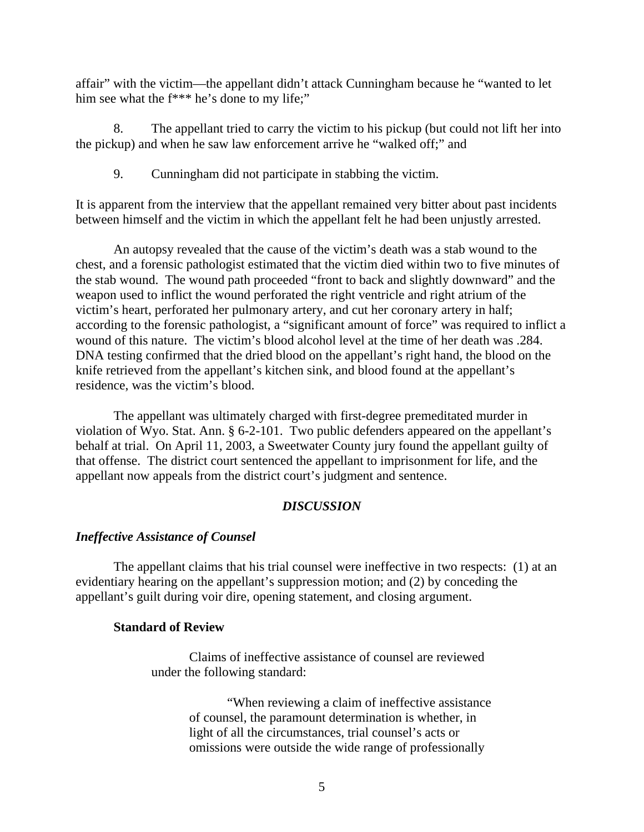affair" with the victim—the appellant didn't attack Cunningham because he "wanted to let him see what the f<sup>\*\*\*</sup> he's done to my life;"

8. The appellant tried to carry the victim to his pickup (but could not lift her into the pickup) and when he saw law enforcement arrive he "walked off;" and

9. Cunningham did not participate in stabbing the victim.

It is apparent from the interview that the appellant remained very bitter about past incidents between himself and the victim in which the appellant felt he had been unjustly arrested.

An autopsy revealed that the cause of the victim's death was a stab wound to the chest, and a forensic pathologist estimated that the victim died within two to five minutes of the stab wound. The wound path proceeded "front to back and slightly downward" and the weapon used to inflict the wound perforated the right ventricle and right atrium of the victim's heart, perforated her pulmonary artery, and cut her coronary artery in half; according to the forensic pathologist, a "significant amount of force" was required to inflict a wound of this nature. The victim's blood alcohol level at the time of her death was .284. DNA testing confirmed that the dried blood on the appellant's right hand, the blood on the knife retrieved from the appellant's kitchen sink, and blood found at the appellant's residence, was the victim's blood.

The appellant was ultimately charged with first-degree premeditated murder in violation of Wyo. Stat. Ann. § 6-2-101. Two public defenders appeared on the appellant's behalf at trial. On April 11, 2003, a Sweetwater County jury found the appellant guilty of that offense. The district court sentenced the appellant to imprisonment for life, and the appellant now appeals from the district court's judgment and sentence.

#### *DISCUSSION*

#### *Ineffective Assistance of Counsel*

The appellant claims that his trial counsel were ineffective in two respects: (1) at an evidentiary hearing on the appellant's suppression motion; and (2) by conceding the appellant's guilt during voir dire, opening statement, and closing argument.

## **Standard of Review**

Claims of ineffective assistance of counsel are reviewed under the following standard:

> "When reviewing a claim of ineffective assistance of counsel, the paramount determination is whether, in light of all the circumstances, trial counsel's acts or omissions were outside the wide range of professionally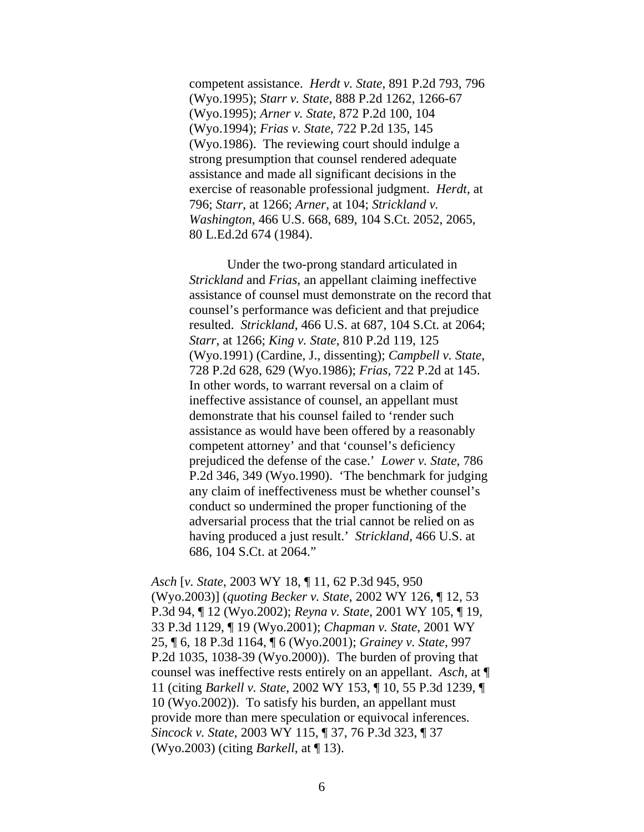competent assistance. *Herdt v. State*, 891 P.2d 793, 796 (Wyo.1995); *Starr v. State*, 888 P.2d 1262, 1266-67 (Wyo.1995); *Arner v. State*, 872 P.2d 100, 104 (Wyo.1994); *Frias v. State*, 722 P.2d 135, 145 (Wyo.1986). The reviewing court should indulge a strong presumption that counsel rendered adequate assistance and made all significant decisions in the exercise of reasonable professional judgment. *Herdt*, at 796; *Starr*, at 1266; *Arner*, at 104; *Strickland v. Washington*, 466 U.S. 668, 689, 104 S.Ct. 2052, 2065, 80 L.Ed.2d 674 (1984).

Under the two-prong standard articulated in *Strickland* and *Frias*, an appellant claiming ineffective assistance of counsel must demonstrate on the record that counsel's performance was deficient and that prejudice resulted. *Strickland*, 466 U.S. at 687, 104 S.Ct. at 2064; *Starr*, at 1266; *King v. State*, 810 P.2d 119, 125 (Wyo.1991) (Cardine, J., dissenting); *Campbell v. State*, 728 P.2d 628, 629 (Wyo.1986); *Frias*, 722 P.2d at 145. In other words, to warrant reversal on a claim of ineffective assistance of counsel, an appellant must demonstrate that his counsel failed to 'render such assistance as would have been offered by a reasonably competent attorney' and that 'counsel's deficiency prejudiced the defense of the case.' *Lower v. State*, 786 P.2d 346, 349 (Wyo.1990). 'The benchmark for judging any claim of ineffectiveness must be whether counsel's conduct so undermined the proper functioning of the adversarial process that the trial cannot be relied on as having produced a just result.' *Strickland*, 466 U.S. at 686, 104 S.Ct. at 2064."

*Asch* [*v. State*, 2003 WY 18, ¶ 11, 62 P.3d 945, 950 (Wyo.2003)] (*quoting Becker v. State*, 2002 WY 126, ¶ 12, 53 P.3d 94, ¶ 12 (Wyo.2002); *Reyna v. State*, 2001 WY 105, ¶ 19, 33 P.3d 1129, ¶ 19 (Wyo.2001); *Chapman v. State*, 2001 WY 25, ¶ 6, 18 P.3d 1164, ¶ 6 (Wyo.2001); *Grainey v. State*, 997 P.2d 1035, 1038-39 (Wyo.2000)). The burden of proving that counsel was ineffective rests entirely on an appellant. *Asch*, at ¶ 11 (citing *Barkell v. State*, 2002 WY 153, ¶ 10, 55 P.3d 1239, ¶ 10 (Wyo.2002)). To satisfy his burden, an appellant must provide more than mere speculation or equivocal inferences. *Sincock v. State*, 2003 WY 115, ¶ 37, 76 P.3d 323, ¶ 37 (Wyo.2003) (citing *Barkell*, at ¶ 13).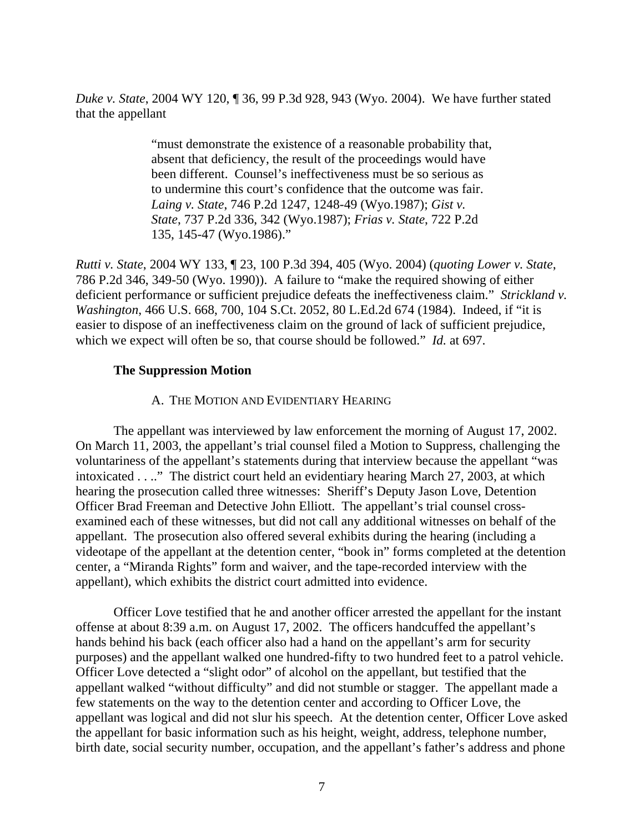*Duke v. State*, 2004 WY 120, ¶ 36, 99 P.3d 928, 943 (Wyo. 2004). We have further stated that the appellant

> "must demonstrate the existence of a reasonable probability that, absent that deficiency, the result of the proceedings would have been different. Counsel's ineffectiveness must be so serious as to undermine this court's confidence that the outcome was fair. *Laing v. State*, 746 P.2d 1247, 1248-49 (Wyo.1987); *Gist v. State*, 737 P.2d 336, 342 (Wyo.1987); *Frias v. State*, 722 P.2d 135, 145-47 (Wyo.1986)."

*Rutti v. State*, 2004 WY 133, ¶ 23, 100 P.3d 394, 405 (Wyo. 2004) (*quoting Lower v. State*, 786 P.2d 346, 349-50 (Wyo. 1990)). A failure to "make the required showing of either deficient performance or sufficient prejudice defeats the ineffectiveness claim." *Strickland v. Washington*, 466 U.S. 668, 700, 104 S.Ct. 2052, 80 L.Ed.2d 674 (1984). Indeed, if "it is easier to dispose of an ineffectiveness claim on the ground of lack of sufficient prejudice, which we expect will often be so, that course should be followed." *Id.* at 697.

### **The Suppression Motion**

#### A. THE MOTION AND EVIDENTIARY HEARING

The appellant was interviewed by law enforcement the morning of August 17, 2002. On March 11, 2003, the appellant's trial counsel filed a Motion to Suppress, challenging the voluntariness of the appellant's statements during that interview because the appellant "was intoxicated . . .." The district court held an evidentiary hearing March 27, 2003, at which hearing the prosecution called three witnesses: Sheriff's Deputy Jason Love, Detention Officer Brad Freeman and Detective John Elliott. The appellant's trial counsel crossexamined each of these witnesses, but did not call any additional witnesses on behalf of the appellant. The prosecution also offered several exhibits during the hearing (including a videotape of the appellant at the detention center, "book in" forms completed at the detention center, a "Miranda Rights" form and waiver, and the tape-recorded interview with the appellant), which exhibits the district court admitted into evidence.

Officer Love testified that he and another officer arrested the appellant for the instant offense at about 8:39 a.m. on August 17, 2002. The officers handcuffed the appellant's hands behind his back (each officer also had a hand on the appellant's arm for security purposes) and the appellant walked one hundred-fifty to two hundred feet to a patrol vehicle. Officer Love detected a "slight odor" of alcohol on the appellant, but testified that the appellant walked "without difficulty" and did not stumble or stagger. The appellant made a few statements on the way to the detention center and according to Officer Love, the appellant was logical and did not slur his speech. At the detention center, Officer Love asked the appellant for basic information such as his height, weight, address, telephone number, birth date, social security number, occupation, and the appellant's father's address and phone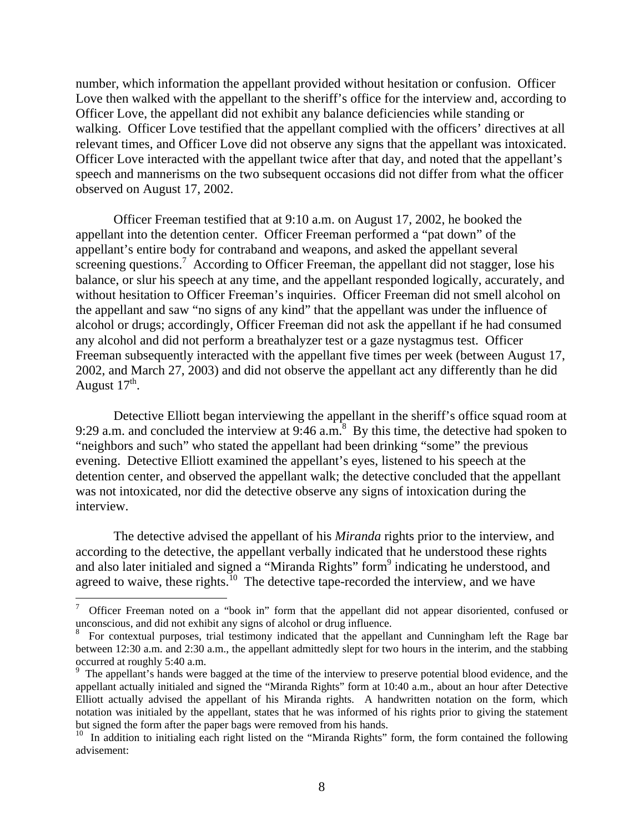number, which information the appellant provided without hesitation or confusion. Officer Love then walked with the appellant to the sheriff's office for the interview and, according to Officer Love, the appellant did not exhibit any balance deficiencies while standing or walking. Officer Love testified that the appellant complied with the officers' directives at all relevant times, and Officer Love did not observe any signs that the appellant was intoxicated. Officer Love interacted with the appellant twice after that day, and noted that the appellant's speech and mannerisms on the two subsequent occasions did not differ from what the officer observed on August 17, 2002.

Officer Freeman testified that at 9:10 a.m. on August 17, 2002, he booked the appellant into the detention center. Officer Freeman performed a "pat down" of the appellant's entire body for contraband and weapons, and asked the appellant several screening questions.<sup>7</sup> According to Officer Freeman, the appellant did not stagger, lose his balance, or slur his speech at any time, and the appellant responded logically, accurately, and without hesitation to Officer Freeman's inquiries. Officer Freeman did not smell alcohol on the appellant and saw "no signs of any kind" that the appellant was under the influence of alcohol or drugs; accordingly, Officer Freeman did not ask the appellant if he had consumed any alcohol and did not perform a breathalyzer test or a gaze nystagmus test. Officer Freeman subsequently interacted with the appellant five times per week (between August 17, 2002, and March 27, 2003) and did not observe the appellant act any differently than he did August  $17<sup>th</sup>$ .

Detective Elliott began interviewing the appellant in the sheriff's office squad room at 9:29 a.m. and concluded the interview at  $9:46$  a.m.<sup>8</sup> By this time, the detective had spoken to "neighbors and such" who stated the appellant had been drinking "some" the previous evening. Detective Elliott examined the appellant's eyes, listened to his speech at the detention center, and observed the appellant walk; the detective concluded that the appellant was not intoxicated, nor did the detective observe any signs of intoxication during the interview.

The detective advised the appellant of his *Miranda* rights prior to the interview, and according to the detective, the appellant verbally indicated that he understood these rights and also later initialed and signed a "Miranda Rights" form<sup>9</sup> indicating he understood, and agreed to waive, these rights.<sup>10</sup> The detective tape-recorded the interview, and we have

<sup>7</sup> Officer Freeman noted on a "book in" form that the appellant did not appear disoriented, confused or unconscious, and did not exhibit any signs of alcohol or drug influence. <sup>8</sup>

For contextual purposes, trial testimony indicated that the appellant and Cunningham left the Rage bar between 12:30 a.m. and 2:30 a.m., the appellant admittedly slept for two hours in the interim, and the stabbing occurred at roughly 5:40 a.m.

<sup>&</sup>lt;sup>9</sup> The appellant's hands were bagged at the time of the interview to preserve potential blood evidence, and the appellant actually initialed and signed the "Miranda Rights" form at 10:40 a.m., about an hour after Detective Elliott actually advised the appellant of his Miranda rights. A handwritten notation on the form, which notation was initialed by the appellant, states that he was informed of his rights prior to giving the statement but signed the form after the paper bags were removed from his hands.<br><sup>10</sup> In addition to initialing each right listed on the "Miranda Rights" form, the form contained the following

advisement: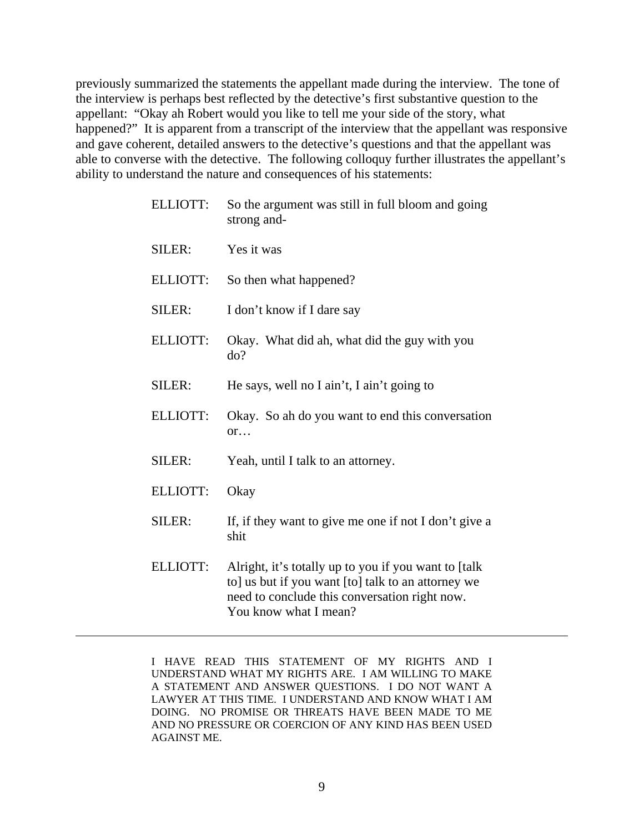previously summarized the statements the appellant made during the interview. The tone of the interview is perhaps best reflected by the detective's first substantive question to the appellant: "Okay ah Robert would you like to tell me your side of the story, what happened?" It is apparent from a transcript of the interview that the appellant was responsive and gave coherent, detailed answers to the detective's questions and that the appellant was able to converse with the detective. The following colloquy further illustrates the appellant's ability to understand the nature and consequences of his statements:

| <b>ELLIOTT:</b> | So the argument was still in full bloom and going<br>strong and-                                                                                                                      |
|-----------------|---------------------------------------------------------------------------------------------------------------------------------------------------------------------------------------|
| SILER:          | Yes it was                                                                                                                                                                            |
| <b>ELLIOTT:</b> | So then what happened?                                                                                                                                                                |
| SILER:          | I don't know if I dare say                                                                                                                                                            |
| <b>ELLIOTT:</b> | Okay. What did ah, what did the guy with you<br>do?                                                                                                                                   |
| SILER:          | He says, well no I ain't, I ain't going to                                                                                                                                            |
| <b>ELLIOTT:</b> | Okay. So ah do you want to end this conversation<br>or                                                                                                                                |
| SILER:          | Yeah, until I talk to an attorney.                                                                                                                                                    |
| <b>ELLIOTT:</b> | Okay                                                                                                                                                                                  |
| SILER:          | If, if they want to give me one if not I don't give a<br>shit                                                                                                                         |
| <b>ELLIOTT:</b> | Alright, it's totally up to you if you want to [talk]<br>to] us but if you want [to] talk to an attorney we<br>need to conclude this conversation right now.<br>You know what I mean? |

I HAVE READ THIS STATEMENT OF MY RIGHTS AND I UNDERSTAND WHAT MY RIGHTS ARE. I AM WILLING TO MAKE A STATEMENT AND ANSWER QUESTIONS. I DO NOT WANT A LAWYER AT THIS TIME. I UNDERSTAND AND KNOW WHAT I AM DOING. NO PROMISE OR THREATS HAVE BEEN MADE TO ME AND NO PRESSURE OR COERCION OF ANY KIND HAS BEEN USED AGAINST ME.

 $\overline{a}$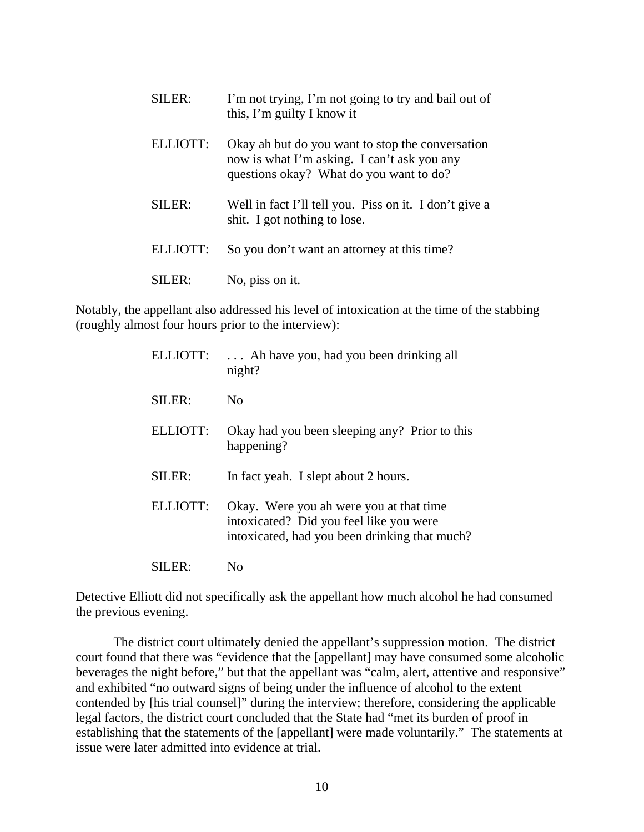| SILER:   | I'm not trying, I'm not going to try and bail out of<br>this, I'm guilty I know it                                                         |
|----------|--------------------------------------------------------------------------------------------------------------------------------------------|
| ELLIOTT: | Okay ah but do you want to stop the conversation<br>now is what I'm asking. I can't ask you any<br>questions okay? What do you want to do? |
| SILER:   | Well in fact I'll tell you. Piss on it. I don't give a<br>shit. I got nothing to lose.                                                     |
| ELLIOTT: | So you don't want an attorney at this time?                                                                                                |
| ILER:    | No, piss on it.                                                                                                                            |

Notably, the appellant also addressed his level of intoxication at the time of the stabbing (roughly almost four hours prior to the interview):

| ELLIOTT:        | Ah have you, had you been drinking all<br>night?                                   |
|-----------------|------------------------------------------------------------------------------------|
| SILER:          | No                                                                                 |
| <b>ELLIOTT:</b> | Okay had you been sleeping any? Prior to this<br>happening?                        |
| SILER:          | In fact yeah. I slept about 2 hours.                                               |
| ELLIOTT:        | Okay. Were you ah were you at that time<br>intoxicated? Did you feel like you were |
|                 | intoxicated, had you been drinking that much?                                      |

Detective Elliott did not specifically ask the appellant how much alcohol he had consumed the previous evening.

The district court ultimately denied the appellant's suppression motion. The district court found that there was "evidence that the [appellant] may have consumed some alcoholic beverages the night before," but that the appellant was "calm, alert, attentive and responsive" and exhibited "no outward signs of being under the influence of alcohol to the extent contended by [his trial counsel]" during the interview; therefore, considering the applicable legal factors, the district court concluded that the State had "met its burden of proof in establishing that the statements of the [appellant] were made voluntarily." The statements at issue were later admitted into evidence at trial.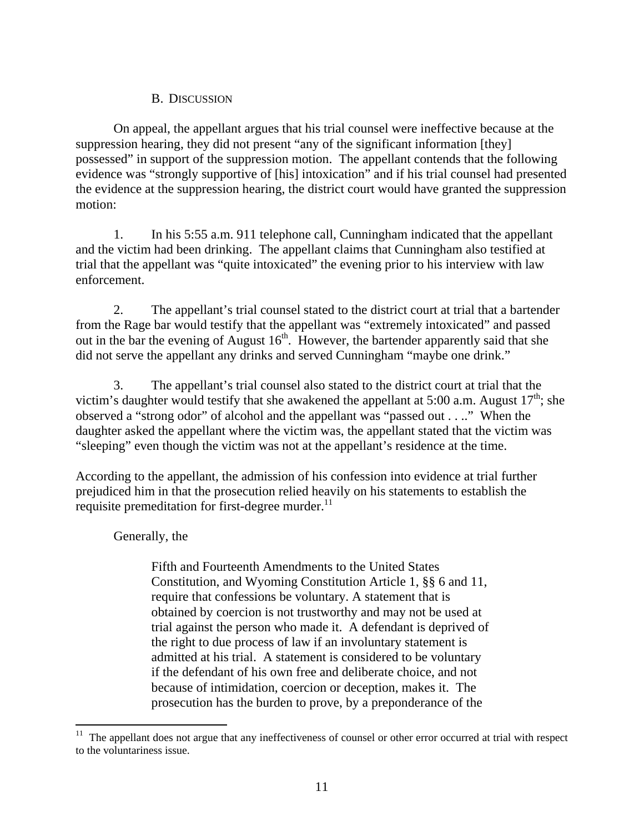## B. DISCUSSION

On appeal, the appellant argues that his trial counsel were ineffective because at the suppression hearing, they did not present "any of the significant information [they] possessed" in support of the suppression motion. The appellant contends that the following evidence was "strongly supportive of [his] intoxication" and if his trial counsel had presented the evidence at the suppression hearing, the district court would have granted the suppression motion:

1. In his 5:55 a.m. 911 telephone call, Cunningham indicated that the appellant and the victim had been drinking. The appellant claims that Cunningham also testified at trial that the appellant was "quite intoxicated" the evening prior to his interview with law enforcement.

2. The appellant's trial counsel stated to the district court at trial that a bartender from the Rage bar would testify that the appellant was "extremely intoxicated" and passed out in the bar the evening of August  $16<sup>th</sup>$ . However, the bartender apparently said that she did not serve the appellant any drinks and served Cunningham "maybe one drink."

3. The appellant's trial counsel also stated to the district court at trial that the victim's daughter would testify that she awakened the appellant at 5:00 a.m. August  $17<sup>th</sup>$ ; she observed a "strong odor" of alcohol and the appellant was "passed out . . .." When the daughter asked the appellant where the victim was, the appellant stated that the victim was "sleeping" even though the victim was not at the appellant's residence at the time.

According to the appellant, the admission of his confession into evidence at trial further prejudiced him in that the prosecution relied heavily on his statements to establish the requisite premeditation for first-degree murder.<sup>11</sup>

Generally, the

Fifth and Fourteenth Amendments to the United States Constitution, and Wyoming Constitution Article 1, §§ 6 and 11, require that confessions be voluntary. A statement that is obtained by coercion is not trustworthy and may not be used at trial against the person who made it. A defendant is deprived of the right to due process of law if an involuntary statement is admitted at his trial. A statement is considered to be voluntary if the defendant of his own free and deliberate choice, and not because of intimidation, coercion or deception, makes it. The prosecution has the burden to prove, by a preponderance of the

<sup>11</sup> The appellant does not argue that any ineffectiveness of counsel or other error occurred at trial with respect to the voluntariness issue.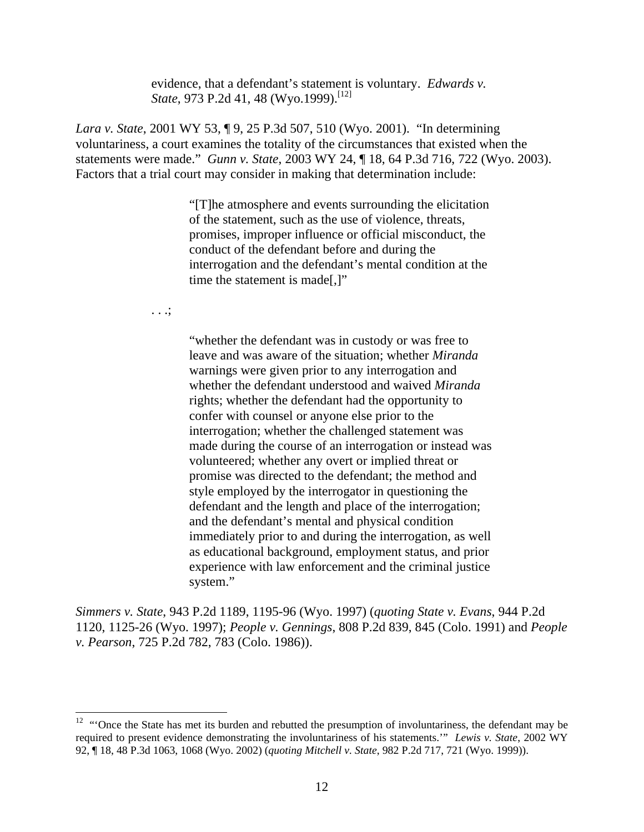evidence, that a defendant's statement is voluntary. *Edwards v. State*, 973 P.2d 41, 48 (Wyo.1999).<sup>[12]</sup>

*Lara v. State*, 2001 WY 53, ¶ 9, 25 P.3d 507, 510 (Wyo. 2001). "In determining voluntariness, a court examines the totality of the circumstances that existed when the statements were made." *Gunn v. State*, 2003 WY 24, ¶ 18, 64 P.3d 716, 722 (Wyo. 2003). Factors that a trial court may consider in making that determination include:

> "[T]he atmosphere and events surrounding the elicitation of the statement, such as the use of violence, threats, promises, improper influence or official misconduct, the conduct of the defendant before and during the interrogation and the defendant's mental condition at the time the statement is made[,]"

. . .;

"whether the defendant was in custody or was free to leave and was aware of the situation; whether *Miranda* warnings were given prior to any interrogation and whether the defendant understood and waived *Miranda* rights; whether the defendant had the opportunity to confer with counsel or anyone else prior to the interrogation; whether the challenged statement was made during the course of an interrogation or instead was volunteered; whether any overt or implied threat or promise was directed to the defendant; the method and style employed by the interrogator in questioning the defendant and the length and place of the interrogation; and the defendant's mental and physical condition immediately prior to and during the interrogation, as well as educational background, employment status, and prior experience with law enforcement and the criminal justice system."

*Simmers v. State*, 943 P.2d 1189, 1195-96 (Wyo. 1997) (*quoting State v. Evans*, 944 P.2d 1120, 1125-26 (Wyo. 1997); *People v. Gennings*, 808 P.2d 839, 845 (Colo. 1991) and *People v. Pearson*, 725 P.2d 782, 783 (Colo. 1986)).

 $12$  "'Once the State has met its burden and rebutted the presumption of involuntariness, the defendant may be required to present evidence demonstrating the involuntariness of his statements.'" *Lewis v. State*, 2002 WY 92, ¶ 18, 48 P.3d 1063, 1068 (Wyo. 2002) (*quoting Mitchell v. State*, 982 P.2d 717, 721 (Wyo. 1999)).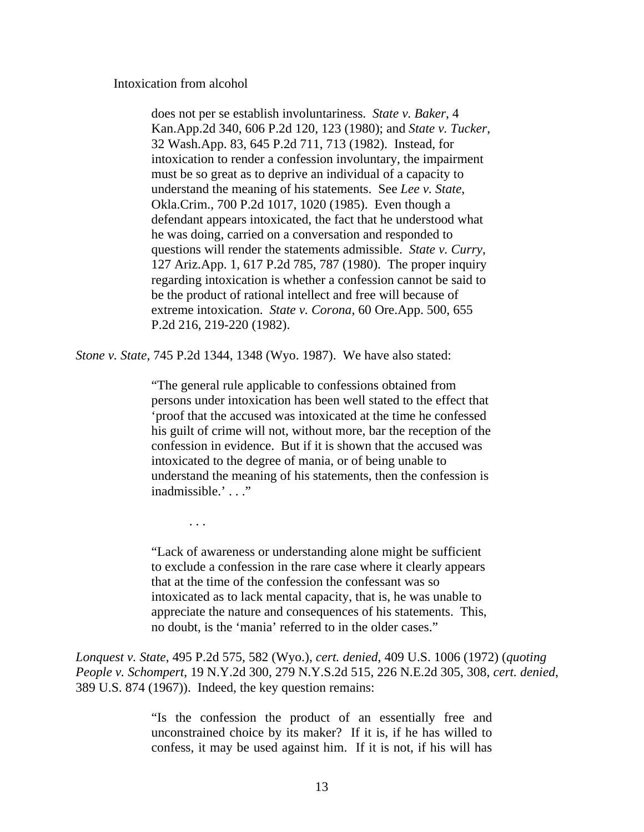Intoxication from alcohol

does not per se establish involuntariness. *State v. Baker*, 4 Kan.App.2d 340, 606 P.2d 120, 123 (1980); and *State v. Tucker*, 32 Wash.App. 83, 645 P.2d 711, 713 (1982). Instead, for intoxication to render a confession involuntary, the impairment must be so great as to deprive an individual of a capacity to understand the meaning of his statements. See *Lee v. State*, Okla.Crim., 700 P.2d 1017, 1020 (1985). Even though a defendant appears intoxicated, the fact that he understood what he was doing, carried on a conversation and responded to questions will render the statements admissible. *State v. Curry*, 127 Ariz.App. 1, 617 P.2d 785, 787 (1980). The proper inquiry regarding intoxication is whether a confession cannot be said to be the product of rational intellect and free will because of extreme intoxication. *State v. Corona*, 60 Ore.App. 500, 655 P.2d 216, 219-220 (1982).

*Stone v. State*, 745 P.2d 1344, 1348 (Wyo. 1987). We have also stated:

"The general rule applicable to confessions obtained from persons under intoxication has been well stated to the effect that 'proof that the accused was intoxicated at the time he confessed his guilt of crime will not, without more, bar the reception of the confession in evidence. But if it is shown that the accused was intoxicated to the degree of mania, or of being unable to understand the meaning of his statements, then the confession is inadmissible.' . . ."

. . .

"Lack of awareness or understanding alone might be sufficient to exclude a confession in the rare case where it clearly appears that at the time of the confession the confessant was so intoxicated as to lack mental capacity, that is, he was unable to appreciate the nature and consequences of his statements. This, no doubt, is the 'mania' referred to in the older cases."

*Lonquest v. State*, 495 P.2d 575, 582 (Wyo.), *cert. denied*, 409 U.S. 1006 (1972) (*quoting People v. Schompert*, 19 N.Y.2d 300, 279 N.Y.S.2d 515, 226 N.E.2d 305, 308, *cert. denied*, 389 U.S. 874 (1967)). Indeed, the key question remains:

> "Is the confession the product of an essentially free and unconstrained choice by its maker? If it is, if he has willed to confess, it may be used against him. If it is not, if his will has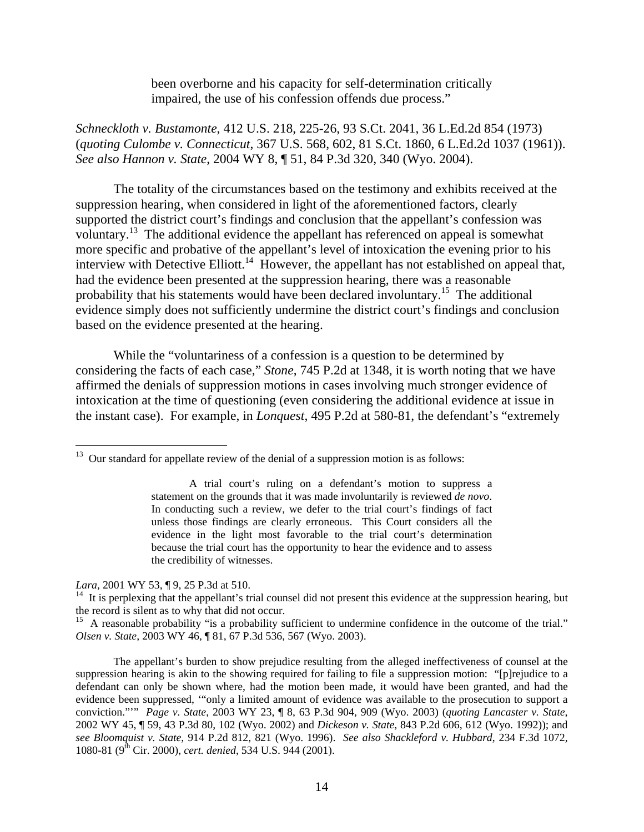been overborne and his capacity for self-determination critically impaired, the use of his confession offends due process."

*Schneckloth v. Bustamonte*, 412 U.S. 218, 225-26, 93 S.Ct. 2041, 36 L.Ed.2d 854 (1973) (*quoting Culombe v. Connecticut*, 367 U.S. 568, 602, 81 S.Ct. 1860, 6 L.Ed.2d 1037 (1961)). *See also Hannon v. State*, 2004 WY 8, ¶ 51, 84 P.3d 320, 340 (Wyo. 2004).

The totality of the circumstances based on the testimony and exhibits received at the suppression hearing, when considered in light of the aforementioned factors, clearly supported the district court's findings and conclusion that the appellant's confession was voluntary.<sup>13</sup> The additional evidence the appellant has referenced on appeal is somewhat more specific and probative of the appellant's level of intoxication the evening prior to his interview with Detective Elliott.<sup>14</sup> However, the appellant has not established on appeal that, had the evidence been presented at the suppression hearing, there was a reasonable probability that his statements would have been declared involuntary.15 The additional evidence simply does not sufficiently undermine the district court's findings and conclusion based on the evidence presented at the hearing.

While the "voluntariness of a confession is a question to be determined by considering the facts of each case," *Stone*, 745 P.2d at 1348, it is worth noting that we have affirmed the denials of suppression motions in cases involving much stronger evidence of intoxication at the time of questioning (even considering the additional evidence at issue in the instant case). For example, in *Lonquest*, 495 P.2d at 580-81, the defendant's "extremely

*Lara*, 2001 WY 53, ¶ 9, 25 P.3d at 510.

 $\overline{a}$ 

<sup>15</sup> A reasonable probability "is a probability sufficient to undermine confidence in the outcome of the trial." *Olsen v. State*, 2003 WY 46, ¶ 81, 67 P.3d 536, 567 (Wyo. 2003).

The appellant's burden to show prejudice resulting from the alleged ineffectiveness of counsel at the suppression hearing is akin to the showing required for failing to file a suppression motion: "[p]rejudice to a defendant can only be shown where, had the motion been made, it would have been granted, and had the evidence been suppressed, '"only a limited amount of evidence was available to the prosecution to support a conviction."'" *Page v. State*, 2003 WY 23, ¶ 8, 63 P.3d 904, 909 (Wyo. 2003) (*quoting Lancaster v. State*, 2002 WY 45, ¶ 59, 43 P.3d 80, 102 (Wyo. 2002) and *Dickeson v. State*, 843 P.2d 606, 612 (Wyo. 1992)); and *see Bloomquist v. State*, 914 P.2d 812, 821 (Wyo. 1996). *See also Shackleford v. Hubbard*, 234 F.3d 1072, 1080-81 (9<sup>th</sup> Cir. 2000), *cert. denied*, 534 U.S. 944 (2001).

 $13$  Our standard for appellate review of the denial of a suppression motion is as follows:

A trial court's ruling on a defendant's motion to suppress a statement on the grounds that it was made involuntarily is reviewed *de novo*. In conducting such a review, we defer to the trial court's findings of fact unless those findings are clearly erroneous. This Court considers all the evidence in the light most favorable to the trial court's determination because the trial court has the opportunity to hear the evidence and to assess the credibility of witnesses.

 $14$  It is perplexing that the appellant's trial counsel did not present this evidence at the suppression hearing, but the record is silent as to why that did not occur.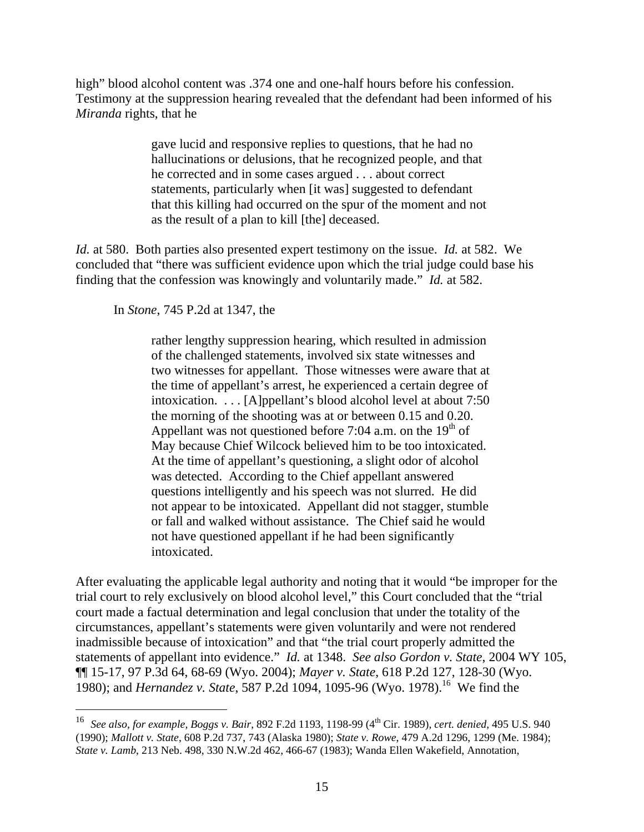high" blood alcohol content was .374 one and one-half hours before his confession. Testimony at the suppression hearing revealed that the defendant had been informed of his *Miranda* rights, that he

> gave lucid and responsive replies to questions, that he had no hallucinations or delusions, that he recognized people, and that he corrected and in some cases argued . . . about correct statements, particularly when [it was] suggested to defendant that this killing had occurred on the spur of the moment and not as the result of a plan to kill [the] deceased.

*Id.* at 580. Both parties also presented expert testimony on the issue. *Id.* at 582. We concluded that "there was sufficient evidence upon which the trial judge could base his finding that the confession was knowingly and voluntarily made." *Id.* at 582.

In *Stone*, 745 P.2d at 1347, the

 $\overline{a}$ 

rather lengthy suppression hearing, which resulted in admission of the challenged statements, involved six state witnesses and two witnesses for appellant. Those witnesses were aware that at the time of appellant's arrest, he experienced a certain degree of intoxication. . . . [A]ppellant's blood alcohol level at about 7:50 the morning of the shooting was at or between 0.15 and 0.20. Appellant was not questioned before 7:04 a.m. on the  $19<sup>th</sup>$  of May because Chief Wilcock believed him to be too intoxicated. At the time of appellant's questioning, a slight odor of alcohol was detected. According to the Chief appellant answered questions intelligently and his speech was not slurred. He did not appear to be intoxicated. Appellant did not stagger, stumble or fall and walked without assistance. The Chief said he would not have questioned appellant if he had been significantly intoxicated.

After evaluating the applicable legal authority and noting that it would "be improper for the trial court to rely exclusively on blood alcohol level," this Court concluded that the "trial court made a factual determination and legal conclusion that under the totality of the circumstances, appellant's statements were given voluntarily and were not rendered inadmissible because of intoxication" and that "the trial court properly admitted the statements of appellant into evidence." *Id.* at 1348. *See also Gordon v. State*, 2004 WY 105, ¶¶ 15-17, 97 P.3d 64, 68-69 (Wyo. 2004); *Mayer v. State*, 618 P.2d 127, 128-30 (Wyo. 1980); and *Hernandez v. State*, 587 P.2d 1094, 1095-96 (Wyo. 1978).<sup>16</sup> We find the

<sup>16</sup> *See also, for example, Boggs v. Bair*, 892 F.2d 1193, 1198-99 (4th Cir. 1989), *cert. denied*, 495 U.S. 940 (1990); *Mallott v. State*, 608 P.2d 737, 743 (Alaska 1980); *State v. Rowe*, 479 A.2d 1296, 1299 (Me. 1984); *State v. Lamb*, 213 Neb. 498, 330 N.W.2d 462, 466-67 (1983); Wanda Ellen Wakefield, Annotation,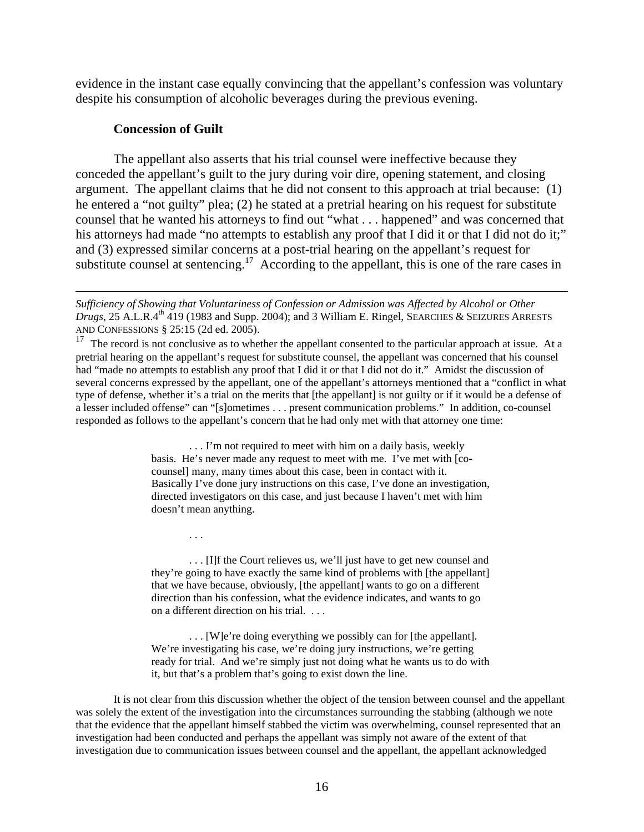evidence in the instant case equally convincing that the appellant's confession was voluntary despite his consumption of alcoholic beverages during the previous evening.

#### **Concession of Guilt**

. . .

 $\overline{a}$ 

The appellant also asserts that his trial counsel were ineffective because they conceded the appellant's guilt to the jury during voir dire, opening statement, and closing argument. The appellant claims that he did not consent to this approach at trial because: (1) he entered a "not guilty" plea; (2) he stated at a pretrial hearing on his request for substitute counsel that he wanted his attorneys to find out "what . . . happened" and was concerned that his attorneys had made "no attempts to establish any proof that I did it or that I did not do it;" and (3) expressed similar concerns at a post-trial hearing on the appellant's request for substitute counsel at sentencing.<sup>17</sup> According to the appellant, this is one of the rare cases in

 $17$  The record is not conclusive as to whether the appellant consented to the particular approach at issue. At a pretrial hearing on the appellant's request for substitute counsel, the appellant was concerned that his counsel had "made no attempts to establish any proof that I did it or that I did not do it." Amidst the discussion of several concerns expressed by the appellant, one of the appellant's attorneys mentioned that a "conflict in what type of defense, whether it's a trial on the merits that [the appellant] is not guilty or if it would be a defense of a lesser included offense" can "[s]ometimes . . . present communication problems." In addition, co-counsel responded as follows to the appellant's concern that he had only met with that attorney one time:

> . . . I'm not required to meet with him on a daily basis, weekly basis. He's never made any request to meet with me. I've met with [cocounsel] many, many times about this case, been in contact with it. Basically I've done jury instructions on this case, I've done an investigation, directed investigators on this case, and just because I haven't met with him doesn't mean anything.

> . . . [I]f the Court relieves us, we'll just have to get new counsel and they're going to have exactly the same kind of problems with [the appellant] that we have because, obviously, [the appellant] wants to go on a different direction than his confession, what the evidence indicates, and wants to go on a different direction on his trial. . . .

> . . . [W]e're doing everything we possibly can for [the appellant]. We're investigating his case, we're doing jury instructions, we're getting ready for trial. And we're simply just not doing what he wants us to do with it, but that's a problem that's going to exist down the line.

It is not clear from this discussion whether the object of the tension between counsel and the appellant was solely the extent of the investigation into the circumstances surrounding the stabbing (although we note that the evidence that the appellant himself stabbed the victim was overwhelming, counsel represented that an investigation had been conducted and perhaps the appellant was simply not aware of the extent of that investigation due to communication issues between counsel and the appellant, the appellant acknowledged

*Sufficiency of Showing that Voluntariness of Confession or Admission was Affected by Alcohol or Other Drugs*, 25 A.L.R.4<sup>th</sup> 419 (1983 and Supp. 2004); and 3 William E. Ringel, SEARCHES & SEIZURES ARRESTS AND CONFESSIONS § 25:15 (2d ed. 2005).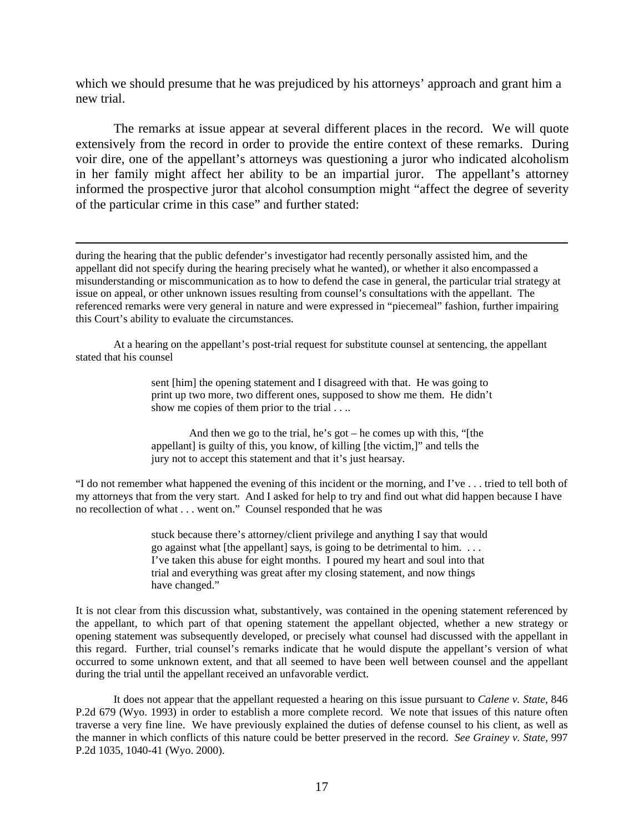which we should presume that he was prejudiced by his attorneys' approach and grant him a new trial.

The remarks at issue appear at several different places in the record. We will quote extensively from the record in order to provide the entire context of these remarks. During voir dire, one of the appellant's attorneys was questioning a juror who indicated alcoholism in her family might affect her ability to be an impartial juror. The appellant's attorney informed the prospective juror that alcohol consumption might "affect the degree of severity of the particular crime in this case" and further stated:

during the hearing that the public defender's investigator had recently personally assisted him, and the appellant did not specify during the hearing precisely what he wanted), or whether it also encompassed a misunderstanding or miscommunication as to how to defend the case in general, the particular trial strategy at issue on appeal, or other unknown issues resulting from counsel's consultations with the appellant. The referenced remarks were very general in nature and were expressed in "piecemeal" fashion, further impairing this Court's ability to evaluate the circumstances.

 $\overline{a}$ 

At a hearing on the appellant's post-trial request for substitute counsel at sentencing, the appellant stated that his counsel

> sent [him] the opening statement and I disagreed with that. He was going to print up two more, two different ones, supposed to show me them. He didn't show me copies of them prior to the trial . . ..

And then we go to the trial, he's got – he comes up with this, "[the appellant] is guilty of this, you know, of killing [the victim,]" and tells the jury not to accept this statement and that it's just hearsay.

"I do not remember what happened the evening of this incident or the morning, and I've . . . tried to tell both of my attorneys that from the very start. And I asked for help to try and find out what did happen because I have no recollection of what . . . went on." Counsel responded that he was

> stuck because there's attorney/client privilege and anything I say that would go against what [the appellant] says, is going to be detrimental to him. . . . I've taken this abuse for eight months. I poured my heart and soul into that trial and everything was great after my closing statement, and now things have changed."

It is not clear from this discussion what, substantively, was contained in the opening statement referenced by the appellant, to which part of that opening statement the appellant objected, whether a new strategy or opening statement was subsequently developed, or precisely what counsel had discussed with the appellant in this regard. Further, trial counsel's remarks indicate that he would dispute the appellant's version of what occurred to some unknown extent, and that all seemed to have been well between counsel and the appellant during the trial until the appellant received an unfavorable verdict.

It does not appear that the appellant requested a hearing on this issue pursuant to *Calene v. State*, 846 P.2d 679 (Wyo. 1993) in order to establish a more complete record. We note that issues of this nature often traverse a very fine line. We have previously explained the duties of defense counsel to his client, as well as the manner in which conflicts of this nature could be better preserved in the record. *See Grainey v. State*, 997 P.2d 1035, 1040-41 (Wyo. 2000).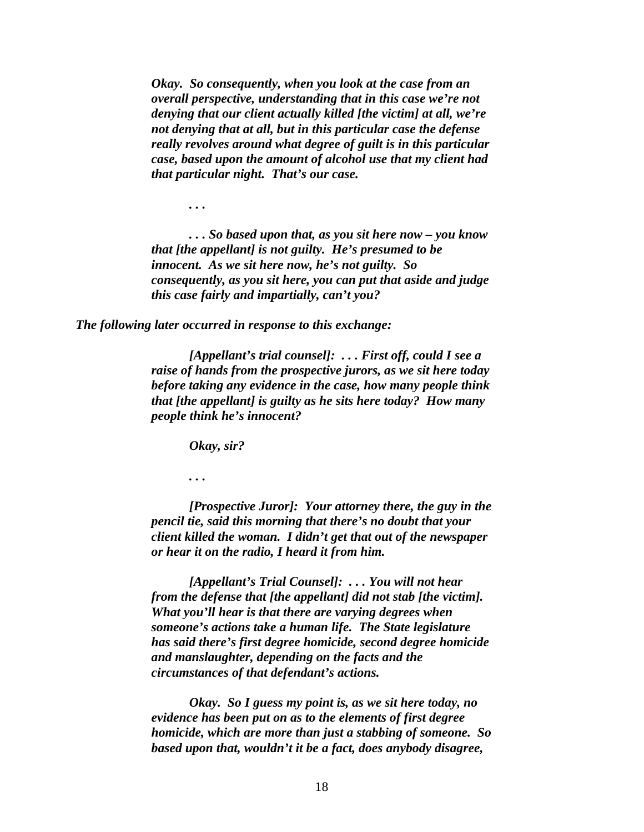*Okay. So consequently, when you look at the case from an overall perspective, understanding that in this case we're not denying that our client actually killed [the victim] at all, we're not denying that at all, but in this particular case the defense really revolves around what degree of guilt is in this particular case, based upon the amount of alcohol use that my client had that particular night. That's our case.* 

*. . . So based upon that, as you sit here now – you know that [the appellant] is not guilty. He's presumed to be innocent. As we sit here now, he's not guilty. So consequently, as you sit here, you can put that aside and judge this case fairly and impartially, can't you?* 

*The following later occurred in response to this exchange:* 

*[Appellant's trial counsel]: . . . First off, could I see a raise of hands from the prospective jurors, as we sit here today before taking any evidence in the case, how many people think that [the appellant] is guilty as he sits here today? How many people think he's innocent?* 

 *Okay, sir?*

*. . .* 

*. . .* 

*[Prospective Juror]: Your attorney there, the guy in the pencil tie, said this morning that there's no doubt that your client killed the woman. I didn't get that out of the newspaper or hear it on the radio, I heard it from him.* 

*[Appellant's Trial Counsel]: . . . You will not hear from the defense that [the appellant] did not stab [the victim]. What you'll hear is that there are varying degrees when someone's actions take a human life. The State legislature has said there's first degree homicide, second degree homicide and manslaughter, depending on the facts and the circumstances of that defendant's actions.* 

*Okay. So I guess my point is, as we sit here today, no evidence has been put on as to the elements of first degree homicide, which are more than just a stabbing of someone. So based upon that, wouldn't it be a fact, does anybody disagree,*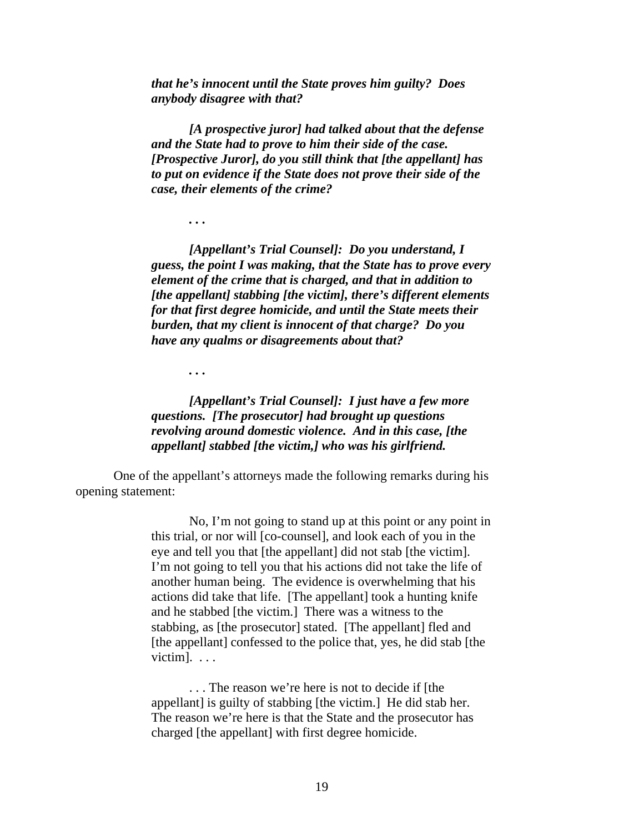*that he's innocent until the State proves him guilty? Does anybody disagree with that?* 

*[A prospective juror] had talked about that the defense and the State had to prove to him their side of the case. [Prospective Juror], do you still think that [the appellant] has to put on evidence if the State does not prove their side of the case, their elements of the crime?*

*[Appellant's Trial Counsel]: Do you understand, I guess, the point I was making, that the State has to prove every element of the crime that is charged, and that in addition to [the appellant] stabbing [the victim], there's different elements for that first degree homicide, and until the State meets their burden, that my client is innocent of that charge? Do you have any qualms or disagreements about that?* 

*. . .* 

*. . .* 

*[Appellant's Trial Counsel]: I just have a few more questions. [The prosecutor] had brought up questions revolving around domestic violence. And in this case, [the appellant] stabbed [the victim,] who was his girlfriend.* 

One of the appellant's attorneys made the following remarks during his opening statement:

> No, I'm not going to stand up at this point or any point in this trial, or nor will [co-counsel], and look each of you in the eye and tell you that [the appellant] did not stab [the victim]. I'm not going to tell you that his actions did not take the life of another human being. The evidence is overwhelming that his actions did take that life. [The appellant] took a hunting knife and he stabbed [the victim.] There was a witness to the stabbing, as [the prosecutor] stated. [The appellant] fled and [the appellant] confessed to the police that, yes, he did stab [the victim]. . . .

. . . The reason we're here is not to decide if [the appellant] is guilty of stabbing [the victim.] He did stab her. The reason we're here is that the State and the prosecutor has charged [the appellant] with first degree homicide.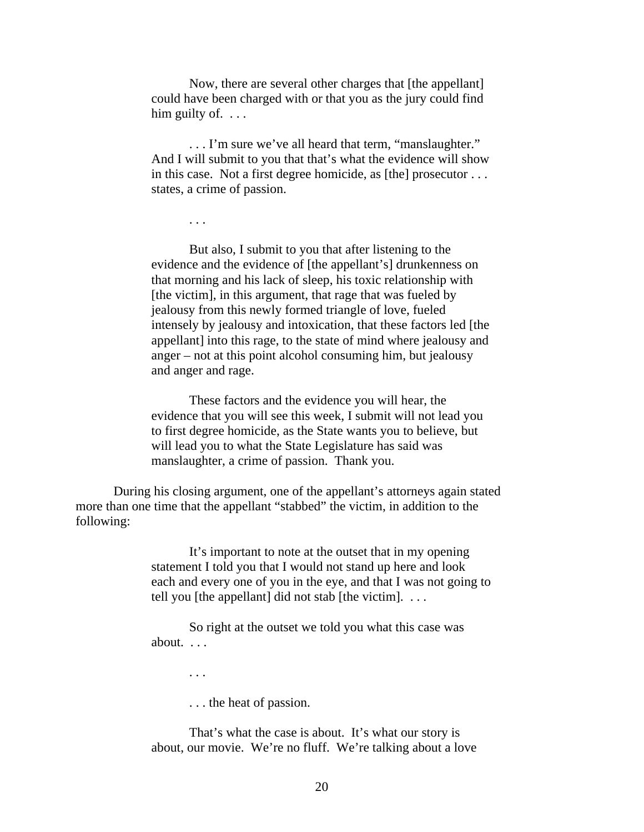Now, there are several other charges that [the appellant] could have been charged with or that you as the jury could find him guilty of.  $\dots$ 

. . . I'm sure we've all heard that term, "manslaughter." And I will submit to you that that's what the evidence will show in this case. Not a first degree homicide, as [the] prosecutor . . . states, a crime of passion.

But also, I submit to you that after listening to the evidence and the evidence of [the appellant's] drunkenness on that morning and his lack of sleep, his toxic relationship with [the victim], in this argument, that rage that was fueled by jealousy from this newly formed triangle of love, fueled intensely by jealousy and intoxication, that these factors led [the appellant] into this rage, to the state of mind where jealousy and anger – not at this point alcohol consuming him, but jealousy and anger and rage.

These factors and the evidence you will hear, the evidence that you will see this week, I submit will not lead you to first degree homicide, as the State wants you to believe, but will lead you to what the State Legislature has said was manslaughter, a crime of passion. Thank you.

During his closing argument, one of the appellant's attorneys again stated more than one time that the appellant "stabbed" the victim, in addition to the following:

> It's important to note at the outset that in my opening statement I told you that I would not stand up here and look each and every one of you in the eye, and that I was not going to tell you [the appellant] did not stab [the victim].  $\dots$

So right at the outset we told you what this case was about. . . .

. . .

. . .

. . . the heat of passion.

That's what the case is about. It's what our story is about, our movie. We're no fluff. We're talking about a love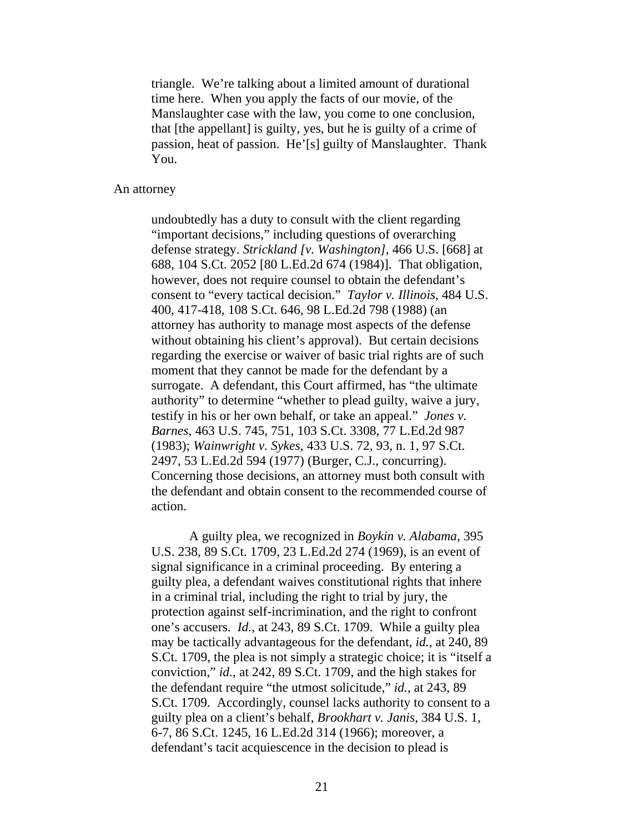triangle. We're talking about a limited amount of durational time here. When you apply the facts of our movie, of the Manslaughter case with the law, you come to one conclusion, that [the appellant] is guilty, yes, but he is guilty of a crime of passion, heat of passion. He'[s] guilty of Manslaughter. Thank You.

#### An attorney

undoubtedly has a duty to consult with the client regarding "important decisions," including questions of overarching defense strategy. *Strickland [v. Washington]*, 466 U.S. [668] at 688, 104 S.Ct. 2052 [80 L.Ed.2d 674 (1984)]. That obligation, however, does not require counsel to obtain the defendant's consent to "every tactical decision." *Taylor v. Illinois*, 484 U.S. 400, 417-418, 108 S.Ct. 646, 98 L.Ed.2d 798 (1988) (an attorney has authority to manage most aspects of the defense without obtaining his client's approval). But certain decisions regarding the exercise or waiver of basic trial rights are of such moment that they cannot be made for the defendant by a surrogate. A defendant, this Court affirmed, has "the ultimate authority" to determine "whether to plead guilty, waive a jury, testify in his or her own behalf, or take an appeal." *Jones v. Barnes*, 463 U.S. 745, 751, 103 S.Ct. 3308, 77 L.Ed.2d 987 (1983); *Wainwright v. Sykes*, 433 U.S. 72, 93, n. 1, 97 S.Ct. 2497, 53 L.Ed.2d 594 (1977) (Burger, C.J., concurring). Concerning those decisions, an attorney must both consult with the defendant and obtain consent to the recommended course of action.

A guilty plea, we recognized in *Boykin v. Alabama*, 395 U.S. 238, 89 S.Ct. 1709, 23 L.Ed.2d 274 (1969), is an event of signal significance in a criminal proceeding. By entering a guilty plea, a defendant waives constitutional rights that inhere in a criminal trial, including the right to trial by jury, the protection against self-incrimination, and the right to confront one's accusers. *Id.*, at 243, 89 S.Ct. 1709. While a guilty plea may be tactically advantageous for the defendant, *id.*, at 240, 89 S.Ct. 1709, the plea is not simply a strategic choice; it is "itself a conviction," *id.*, at 242, 89 S.Ct. 1709, and the high stakes for the defendant require "the utmost solicitude," *id.*, at 243, 89 S.Ct. 1709. Accordingly, counsel lacks authority to consent to a guilty plea on a client's behalf, *Brookhart v. Janis*, 384 U.S. 1, 6-7, 86 S.Ct. 1245, 16 L.Ed.2d 314 (1966); moreover, a defendant's tacit acquiescence in the decision to plead is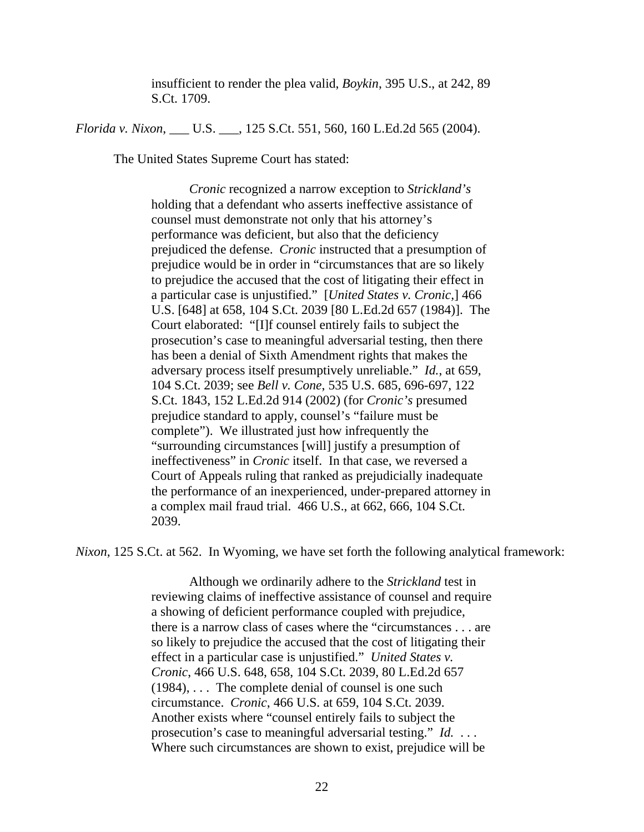insufficient to render the plea valid, *Boykin*, 395 U.S., at 242, 89 S.Ct. 1709.

*Florida v. Nixon*, \_\_\_ U.S. \_\_\_, 125 S.Ct. 551, 560, 160 L.Ed.2d 565 (2004).

The United States Supreme Court has stated:

*Cronic* recognized a narrow exception to *Strickland's* holding that a defendant who asserts ineffective assistance of counsel must demonstrate not only that his attorney's performance was deficient, but also that the deficiency prejudiced the defense. *Cronic* instructed that a presumption of prejudice would be in order in "circumstances that are so likely to prejudice the accused that the cost of litigating their effect in a particular case is unjustified." [*United States v. Cronic,*] 466 U.S. [648] at 658, 104 S.Ct. 2039 [80 L.Ed.2d 657 (1984)]. The Court elaborated: "[I]f counsel entirely fails to subject the prosecution's case to meaningful adversarial testing, then there has been a denial of Sixth Amendment rights that makes the adversary process itself presumptively unreliable." *Id.*, at 659, 104 S.Ct. 2039; see *Bell v. Cone*, 535 U.S. 685, 696-697, 122 S.Ct. 1843, 152 L.Ed.2d 914 (2002) (for *Cronic's* presumed prejudice standard to apply, counsel's "failure must be complete"). We illustrated just how infrequently the "surrounding circumstances [will] justify a presumption of ineffectiveness" in *Cronic* itself. In that case, we reversed a Court of Appeals ruling that ranked as prejudicially inadequate the performance of an inexperienced, under-prepared attorney in a complex mail fraud trial. 466 U.S., at 662, 666, 104 S.Ct. 2039.

*Nixon*, 125 S.Ct. at 562. In Wyoming, we have set forth the following analytical framework:

Although we ordinarily adhere to the *Strickland* test in reviewing claims of ineffective assistance of counsel and require a showing of deficient performance coupled with prejudice, there is a narrow class of cases where the "circumstances . . . are so likely to prejudice the accused that the cost of litigating their effect in a particular case is unjustified." *United States v. Cronic*, 466 U.S. 648, 658, 104 S.Ct. 2039, 80 L.Ed.2d 657  $(1984)$ ,  $\ldots$  The complete denial of counsel is one such circumstance. *Cronic*, 466 U.S. at 659, 104 S.Ct. 2039. Another exists where "counsel entirely fails to subject the prosecution's case to meaningful adversarial testing." *Id.* . . . Where such circumstances are shown to exist, prejudice will be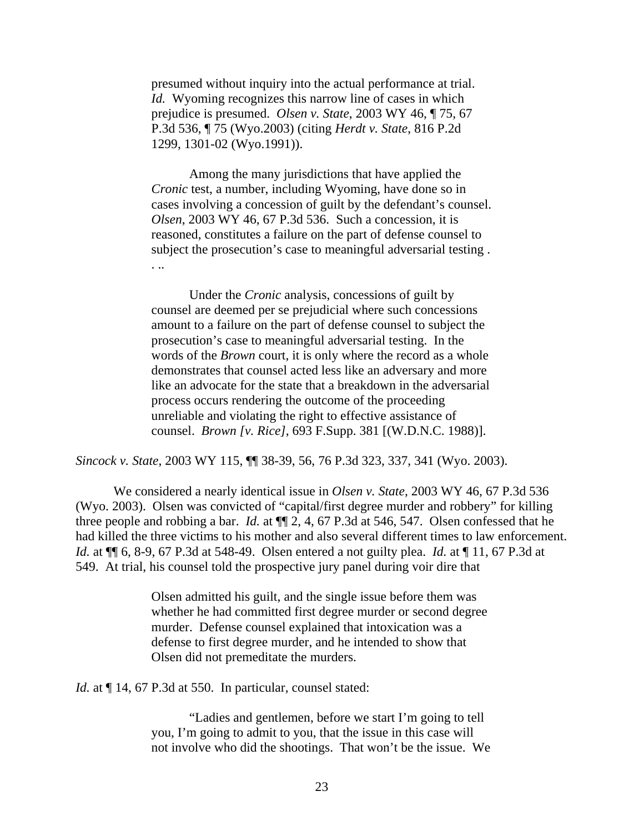presumed without inquiry into the actual performance at trial. *Id.* Wyoming recognizes this narrow line of cases in which prejudice is presumed. *Olsen v. State*, 2003 WY 46, ¶ 75, 67 P.3d 536, ¶ 75 (Wyo.2003) (citing *Herdt v. State*, 816 P.2d 1299, 1301-02 (Wyo.1991)).

Among the many jurisdictions that have applied the *Cronic* test, a number, including Wyoming, have done so in cases involving a concession of guilt by the defendant's counsel. *Olsen*, 2003 WY 46, 67 P.3d 536. Such a concession, it is reasoned, constitutes a failure on the part of defense counsel to subject the prosecution's case to meaningful adversarial testing . . ..

 Under the *Cronic* analysis, concessions of guilt by counsel are deemed per se prejudicial where such concessions amount to a failure on the part of defense counsel to subject the prosecution's case to meaningful adversarial testing. In the words of the *Brown* court, it is only where the record as a whole demonstrates that counsel acted less like an adversary and more like an advocate for the state that a breakdown in the adversarial process occurs rendering the outcome of the proceeding unreliable and violating the right to effective assistance of counsel. *Brown [v. Rice]*, 693 F.Supp. 381 [(W.D.N.C. 1988)].

*Sincock v. State*, 2003 WY 115, ¶¶ 38-39, 56, 76 P.3d 323, 337, 341 (Wyo. 2003).

We considered a nearly identical issue in *Olsen v. State*, 2003 WY 46, 67 P.3d 536 (Wyo. 2003). Olsen was convicted of "capital/first degree murder and robbery" for killing three people and robbing a bar. *Id.* at ¶¶ 2, 4, 67 P.3d at 546, 547. Olsen confessed that he had killed the three victims to his mother and also several different times to law enforcement. *Id.* at ¶¶ 6, 8-9, 67 P.3d at 548-49. Olsen entered a not guilty plea. *Id.* at ¶ 11, 67 P.3d at 549. At trial, his counsel told the prospective jury panel during voir dire that

> Olsen admitted his guilt, and the single issue before them was whether he had committed first degree murder or second degree murder. Defense counsel explained that intoxication was a defense to first degree murder, and he intended to show that Olsen did not premeditate the murders.

*Id.* at  $\P$  14, 67 P.3d at 550. In particular, counsel stated:

"Ladies and gentlemen, before we start I'm going to tell you, I'm going to admit to you, that the issue in this case will not involve who did the shootings. That won't be the issue. We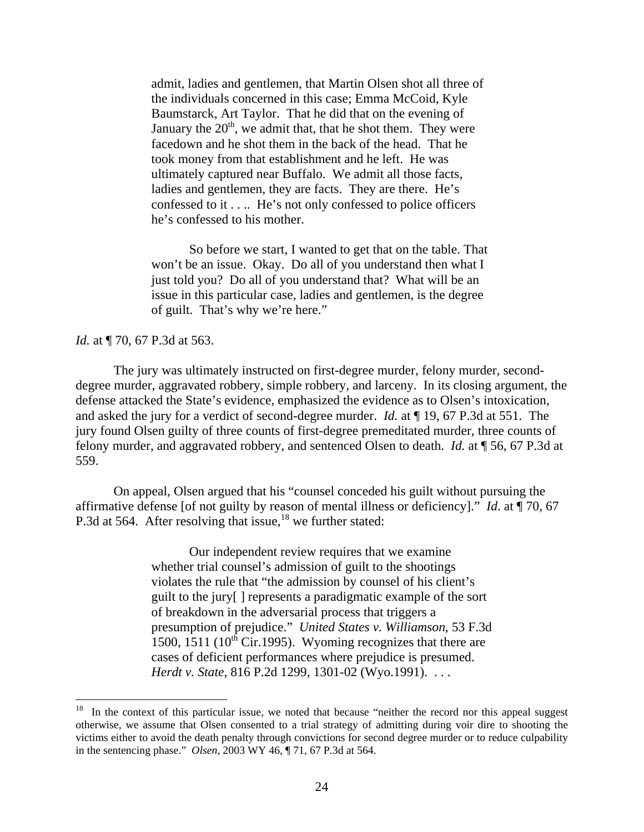admit, ladies and gentlemen, that Martin Olsen shot all three of the individuals concerned in this case; Emma McCoid, Kyle Baumstarck, Art Taylor. That he did that on the evening of January the  $20<sup>th</sup>$ , we admit that, that he shot them. They were facedown and he shot them in the back of the head. That he took money from that establishment and he left. He was ultimately captured near Buffalo. We admit all those facts, ladies and gentlemen, they are facts. They are there. He's confessed to it . . .. He's not only confessed to police officers he's confessed to his mother.

So before we start, I wanted to get that on the table. That won't be an issue. Okay. Do all of you understand then what I just told you? Do all of you understand that? What will be an issue in this particular case, ladies and gentlemen, is the degree of guilt. That's why we're here."

*Id.* at  $\P$  70, 67 P.3d at 563.

 $\overline{a}$ 

The jury was ultimately instructed on first-degree murder, felony murder, seconddegree murder, aggravated robbery, simple robbery, and larceny. In its closing argument, the defense attacked the State's evidence, emphasized the evidence as to Olsen's intoxication, and asked the jury for a verdict of second-degree murder. *Id.* at ¶ 19, 67 P.3d at 551. The jury found Olsen guilty of three counts of first-degree premeditated murder, three counts of felony murder, and aggravated robbery, and sentenced Olsen to death. *Id.* at ¶ 56, 67 P.3d at 559.

On appeal, Olsen argued that his "counsel conceded his guilt without pursuing the affirmative defense [of not guilty by reason of mental illness or deficiency]." *Id*. at ¶ 70, 67 P.3d at 564. After resolving that issue, $18$  we further stated:

> Our independent review requires that we examine whether trial counsel's admission of guilt to the shootings violates the rule that "the admission by counsel of his client's guilt to the jury[ ] represents a paradigmatic example of the sort of breakdown in the adversarial process that triggers a presumption of prejudice." *United States v. Williamson*, 53 F.3d 1500, 1511 ( $10^{th}$  Cir.1995). Wyoming recognizes that there are cases of deficient performances where prejudice is presumed. *Herdt v. State*, 816 P.2d 1299, 1301-02 (Wyo.1991). . . .

<sup>&</sup>lt;sup>18</sup> In the context of this particular issue, we noted that because "neither the record nor this appeal suggest otherwise, we assume that Olsen consented to a trial strategy of admitting during voir dire to shooting the victims either to avoid the death penalty through convictions for second degree murder or to reduce culpability in the sentencing phase." *Olsen*, 2003 WY 46, ¶ 71, 67 P.3d at 564.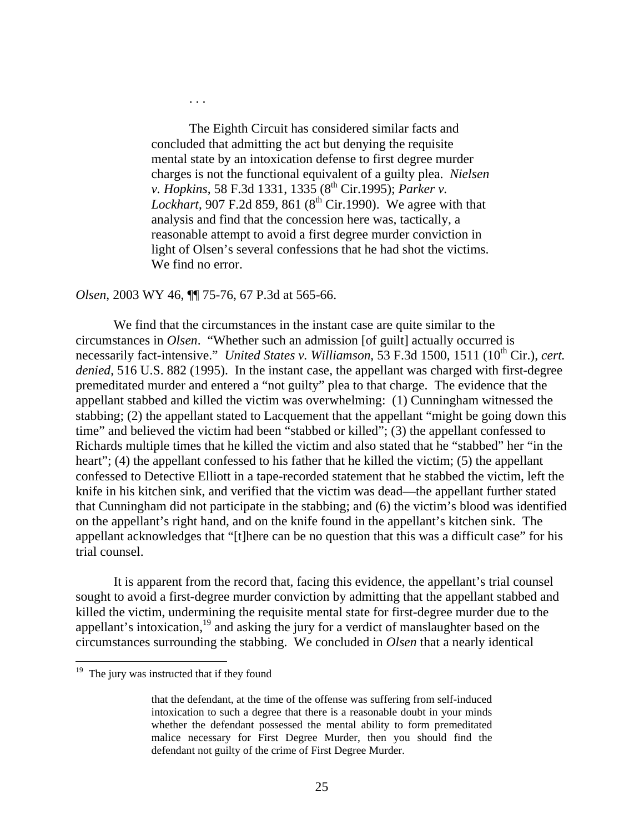The Eighth Circuit has considered similar facts and concluded that admitting the act but denying the requisite mental state by an intoxication defense to first degree murder charges is not the functional equivalent of a guilty plea. *Nielsen v. Hopkins*, 58 F.3d 1331, 1335 (8<sup>th</sup> Cir.1995); *Parker v. Lockhart*, 907 F.2d 859, 861 ( $8<sup>th</sup>$  Cir.1990). We agree with that analysis and find that the concession here was, tactically, a reasonable attempt to avoid a first degree murder conviction in light of Olsen's several confessions that he had shot the victims. We find no error.

## *Olsen*, 2003 WY 46, ¶¶ 75-76, 67 P.3d at 565-66.

. . .

We find that the circumstances in the instant case are quite similar to the circumstances in *Olsen*. "Whether such an admission [of guilt] actually occurred is necessarily fact-intensive." *United States v. Williamson*, 53 F.3d 1500, 1511 (10<sup>th</sup> Cir.), *cert. denied*, 516 U.S. 882 (1995). In the instant case, the appellant was charged with first-degree premeditated murder and entered a "not guilty" plea to that charge. The evidence that the appellant stabbed and killed the victim was overwhelming: (1) Cunningham witnessed the stabbing; (2) the appellant stated to Lacquement that the appellant "might be going down this time" and believed the victim had been "stabbed or killed"; (3) the appellant confessed to Richards multiple times that he killed the victim and also stated that he "stabbed" her "in the heart"; (4) the appellant confessed to his father that he killed the victim; (5) the appellant confessed to Detective Elliott in a tape-recorded statement that he stabbed the victim, left the knife in his kitchen sink, and verified that the victim was dead—the appellant further stated that Cunningham did not participate in the stabbing; and (6) the victim's blood was identified on the appellant's right hand, and on the knife found in the appellant's kitchen sink. The appellant acknowledges that "[t]here can be no question that this was a difficult case" for his trial counsel.

It is apparent from the record that, facing this evidence, the appellant's trial counsel sought to avoid a first-degree murder conviction by admitting that the appellant stabbed and killed the victim, undermining the requisite mental state for first-degree murder due to the appellant's intoxication,<sup>19</sup> and asking the jury for a verdict of manslaughter based on the circumstances surrounding the stabbing. We concluded in *Olsen* that a nearly identical

<sup>&</sup>lt;sup>19</sup> The jury was instructed that if they found

that the defendant, at the time of the offense was suffering from self-induced intoxication to such a degree that there is a reasonable doubt in your minds whether the defendant possessed the mental ability to form premeditated malice necessary for First Degree Murder, then you should find the defendant not guilty of the crime of First Degree Murder.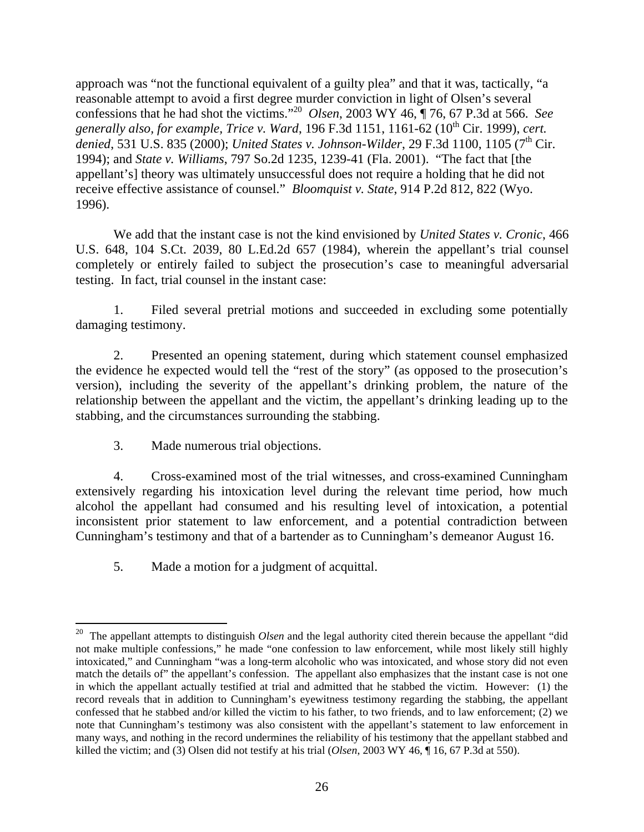approach was "not the functional equivalent of a guilty plea" and that it was, tactically, "a reasonable attempt to avoid a first degree murder conviction in light of Olsen's several confessions that he had shot the victims."20 *Olsen*, 2003 WY 46, ¶ 76, 67 P.3d at 566. *See generally also, for example, Trice v. Ward*, 196 F.3d 1151, 1161-62 (10th Cir. 1999), *cert.*  denied, 531 U.S. 835 (2000); *United States v. Johnson-Wilder*, 29 F.3d 1100, 1105 (7<sup>th</sup> Cir. 1994); and *State v. Williams*, 797 So.2d 1235, 1239-41 (Fla. 2001). "The fact that [the appellant's] theory was ultimately unsuccessful does not require a holding that he did not receive effective assistance of counsel." *Bloomquist v. State*, 914 P.2d 812, 822 (Wyo. 1996).

We add that the instant case is not the kind envisioned by *United States v. Cronic*, 466 U.S. 648, 104 S.Ct. 2039, 80 L.Ed.2d 657 (1984), wherein the appellant's trial counsel completely or entirely failed to subject the prosecution's case to meaningful adversarial testing. In fact, trial counsel in the instant case:

1. Filed several pretrial motions and succeeded in excluding some potentially damaging testimony.

2. Presented an opening statement, during which statement counsel emphasized the evidence he expected would tell the "rest of the story" (as opposed to the prosecution's version), including the severity of the appellant's drinking problem, the nature of the relationship between the appellant and the victim, the appellant's drinking leading up to the stabbing, and the circumstances surrounding the stabbing.

3. Made numerous trial objections.

l

4. Cross-examined most of the trial witnesses, and cross-examined Cunningham extensively regarding his intoxication level during the relevant time period, how much alcohol the appellant had consumed and his resulting level of intoxication, a potential inconsistent prior statement to law enforcement, and a potential contradiction between Cunningham's testimony and that of a bartender as to Cunningham's demeanor August 16.

5. Made a motion for a judgment of acquittal.

<sup>20</sup> The appellant attempts to distinguish *Olsen* and the legal authority cited therein because the appellant "did not make multiple confessions," he made "one confession to law enforcement, while most likely still highly intoxicated," and Cunningham "was a long-term alcoholic who was intoxicated, and whose story did not even match the details of" the appellant's confession. The appellant also emphasizes that the instant case is not one in which the appellant actually testified at trial and admitted that he stabbed the victim. However: (1) the record reveals that in addition to Cunningham's eyewitness testimony regarding the stabbing, the appellant confessed that he stabbed and/or killed the victim to his father, to two friends, and to law enforcement; (2) we note that Cunningham's testimony was also consistent with the appellant's statement to law enforcement in many ways, and nothing in the record undermines the reliability of his testimony that the appellant stabbed and killed the victim; and (3) Olsen did not testify at his trial (*Olsen*, 2003 WY 46, ¶ 16, 67 P.3d at 550).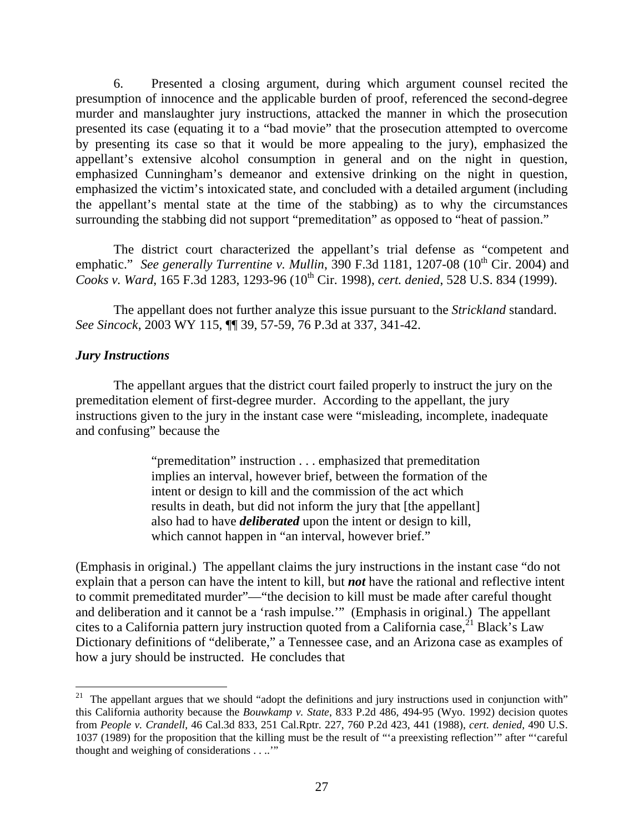6. Presented a closing argument, during which argument counsel recited the presumption of innocence and the applicable burden of proof, referenced the second-degree murder and manslaughter jury instructions, attacked the manner in which the prosecution presented its case (equating it to a "bad movie" that the prosecution attempted to overcome by presenting its case so that it would be more appealing to the jury), emphasized the appellant's extensive alcohol consumption in general and on the night in question, emphasized Cunningham's demeanor and extensive drinking on the night in question, emphasized the victim's intoxicated state, and concluded with a detailed argument (including the appellant's mental state at the time of the stabbing) as to why the circumstances surrounding the stabbing did not support "premeditation" as opposed to "heat of passion."

The district court characterized the appellant's trial defense as "competent and emphatic." *See generally Turrentine v. Mullin*,  $\overline{390}$  F.3d 1181, 1207-08 (10<sup>th</sup> Cir. 2004) and *Cooks v. Ward*, 165 F.3d 1283, 1293-96 (10th Cir. 1998), *cert. denied*, 528 U.S. 834 (1999).

The appellant does not further analyze this issue pursuant to the *Strickland* standard. *See Sincock*, 2003 WY 115, ¶¶ 39, 57-59, 76 P.3d at 337, 341-42.

### *Jury Instructions*

 $\overline{a}$ 

The appellant argues that the district court failed properly to instruct the jury on the premeditation element of first-degree murder. According to the appellant, the jury instructions given to the jury in the instant case were "misleading, incomplete, inadequate and confusing" because the

> "premeditation" instruction . . . emphasized that premeditation implies an interval, however brief, between the formation of the intent or design to kill and the commission of the act which results in death, but did not inform the jury that [the appellant] also had to have *deliberated* upon the intent or design to kill, which cannot happen in "an interval, however brief."

(Emphasis in original.) The appellant claims the jury instructions in the instant case "do not explain that a person can have the intent to kill, but *not* have the rational and reflective intent to commit premeditated murder"—"the decision to kill must be made after careful thought and deliberation and it cannot be a 'rash impulse.'" (Emphasis in original.) The appellant cites to a California pattern jury instruction quoted from a California case,  $2^1$  Black's Law Dictionary definitions of "deliberate," a Tennessee case, and an Arizona case as examples of how a jury should be instructed. He concludes that

<sup>&</sup>lt;sup>21</sup> The appellant argues that we should "adopt the definitions and jury instructions used in conjunction with" this California authority because the *Bouwkamp v. State*, 833 P.2d 486, 494-95 (Wyo. 1992) decision quotes from *People v. Crandell*, 46 Cal.3d 833, 251 Cal.Rptr. 227, 760 P.2d 423, 441 (1988), *cert. denied*, 490 U.S. 1037 (1989) for the proposition that the killing must be the result of "'a preexisting reflection'" after "'careful thought and weighing of considerations . . ..'"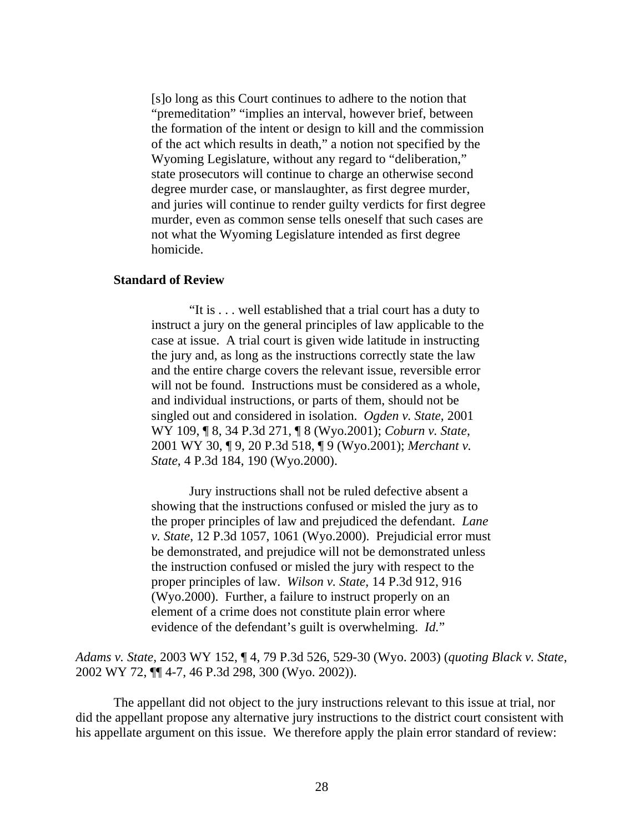[s]o long as this Court continues to adhere to the notion that "premeditation" "implies an interval, however brief, between the formation of the intent or design to kill and the commission of the act which results in death," a notion not specified by the Wyoming Legislature, without any regard to "deliberation," state prosecutors will continue to charge an otherwise second degree murder case, or manslaughter, as first degree murder, and juries will continue to render guilty verdicts for first degree murder, even as common sense tells oneself that such cases are not what the Wyoming Legislature intended as first degree homicide.

#### **Standard of Review**

"It is . . . well established that a trial court has a duty to instruct a jury on the general principles of law applicable to the case at issue. A trial court is given wide latitude in instructing the jury and, as long as the instructions correctly state the law and the entire charge covers the relevant issue, reversible error will not be found. Instructions must be considered as a whole, and individual instructions, or parts of them, should not be singled out and considered in isolation. *Ogden v. State*, 2001 WY 109, ¶ 8, 34 P.3d 271, ¶ 8 (Wyo.2001); *Coburn v. State*, 2001 WY 30, ¶ 9, 20 P.3d 518, ¶ 9 (Wyo.2001); *Merchant v. State*, 4 P.3d 184, 190 (Wyo.2000).

Jury instructions shall not be ruled defective absent a showing that the instructions confused or misled the jury as to the proper principles of law and prejudiced the defendant. *Lane v. State*, 12 P.3d 1057, 1061 (Wyo.2000). Prejudicial error must be demonstrated, and prejudice will not be demonstrated unless the instruction confused or misled the jury with respect to the proper principles of law. *Wilson v. State*, 14 P.3d 912, 916 (Wyo.2000). Further, a failure to instruct properly on an element of a crime does not constitute plain error where evidence of the defendant's guilt is overwhelming. *Id.*"

*Adams v. State*, 2003 WY 152, ¶ 4, 79 P.3d 526, 529-30 (Wyo. 2003) (*quoting Black v. State*, 2002 WY 72, ¶¶ 4-7, 46 P.3d 298, 300 (Wyo. 2002)).

The appellant did not object to the jury instructions relevant to this issue at trial, nor did the appellant propose any alternative jury instructions to the district court consistent with his appellate argument on this issue. We therefore apply the plain error standard of review: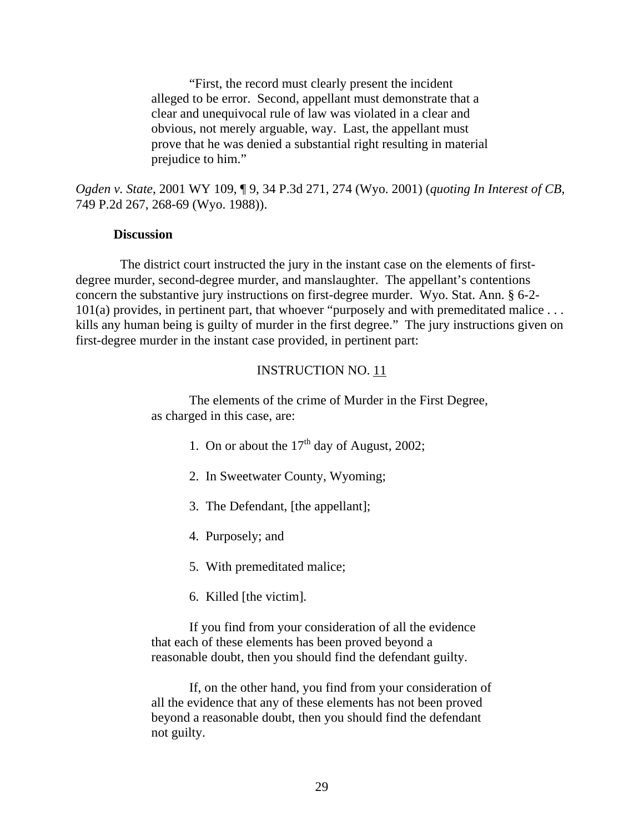"First, the record must clearly present the incident alleged to be error. Second, appellant must demonstrate that a clear and unequivocal rule of law was violated in a clear and obvious, not merely arguable, way. Last, the appellant must prove that he was denied a substantial right resulting in material prejudice to him."

*Ogden v. State*, 2001 WY 109, ¶ 9, 34 P.3d 271, 274 (Wyo. 2001) (*quoting In Interest of CB*, 749 P.2d 267, 268-69 (Wyo. 1988)).

#### **Discussion**

 The district court instructed the jury in the instant case on the elements of firstdegree murder, second-degree murder, and manslaughter. The appellant's contentions concern the substantive jury instructions on first-degree murder. Wyo. Stat. Ann. § 6-2- 101(a) provides, in pertinent part, that whoever "purposely and with premeditated malice . . . kills any human being is guilty of murder in the first degree." The jury instructions given on first-degree murder in the instant case provided, in pertinent part:

### INSTRUCTION NO. 11

The elements of the crime of Murder in the First Degree, as charged in this case, are:

- 1. On or about the  $17<sup>th</sup>$  day of August, 2002;
- 2. In Sweetwater County, Wyoming;
- 3. The Defendant, [the appellant];
- 4. Purposely; and
- 5. With premeditated malice;
- 6. Killed [the victim].

If you find from your consideration of all the evidence that each of these elements has been proved beyond a reasonable doubt, then you should find the defendant guilty.

If, on the other hand, you find from your consideration of all the evidence that any of these elements has not been proved beyond a reasonable doubt, then you should find the defendant not guilty.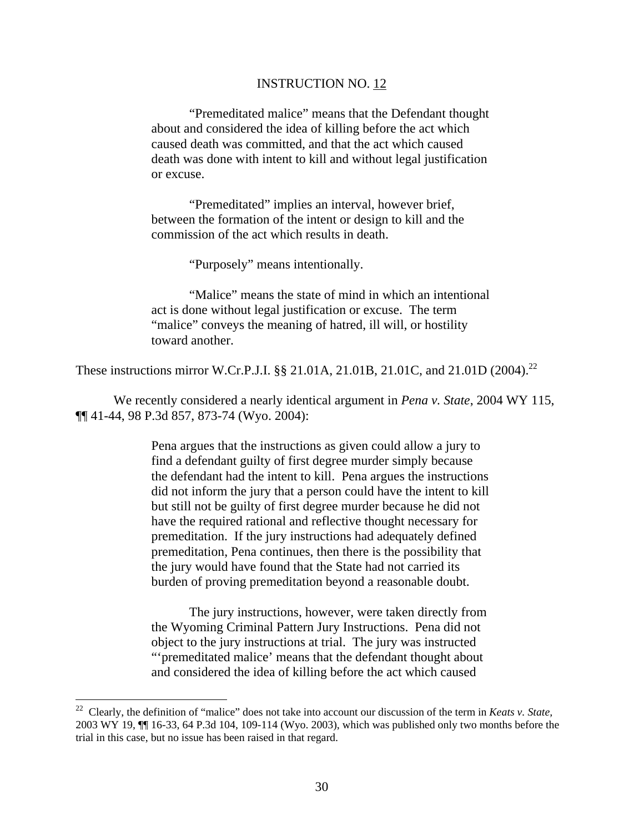#### INSTRUCTION NO. 12

"Premeditated malice" means that the Defendant thought about and considered the idea of killing before the act which caused death was committed, and that the act which caused death was done with intent to kill and without legal justification or excuse.

 "Premeditated" implies an interval, however brief, between the formation of the intent or design to kill and the commission of the act which results in death.

"Purposely" means intentionally.

"Malice" means the state of mind in which an intentional act is done without legal justification or excuse. The term "malice" conveys the meaning of hatred, ill will, or hostility toward another.

These instructions mirror W.Cr.P.J.I. §§ 21.01A, 21.01B, 21.01C, and 21.01D (2004).<sup>22</sup>

We recently considered a nearly identical argument in *Pena v. State*, 2004 WY 115, ¶¶ 41-44, 98 P.3d 857, 873-74 (Wyo. 2004):

> Pena argues that the instructions as given could allow a jury to find a defendant guilty of first degree murder simply because the defendant had the intent to kill. Pena argues the instructions did not inform the jury that a person could have the intent to kill but still not be guilty of first degree murder because he did not have the required rational and reflective thought necessary for premeditation. If the jury instructions had adequately defined premeditation, Pena continues, then there is the possibility that the jury would have found that the State had not carried its burden of proving premeditation beyond a reasonable doubt.

> The jury instructions, however, were taken directly from the Wyoming Criminal Pattern Jury Instructions. Pena did not object to the jury instructions at trial. The jury was instructed "'premeditated malice' means that the defendant thought about and considered the idea of killing before the act which caused

 $\overline{a}$ 

<sup>22</sup> Clearly, the definition of "malice" does not take into account our discussion of the term in *Keats v. State,*  2003 WY 19, ¶¶ 16-33, 64 P.3d 104, 109-114 (Wyo. 2003), which was published only two months before the trial in this case, but no issue has been raised in that regard.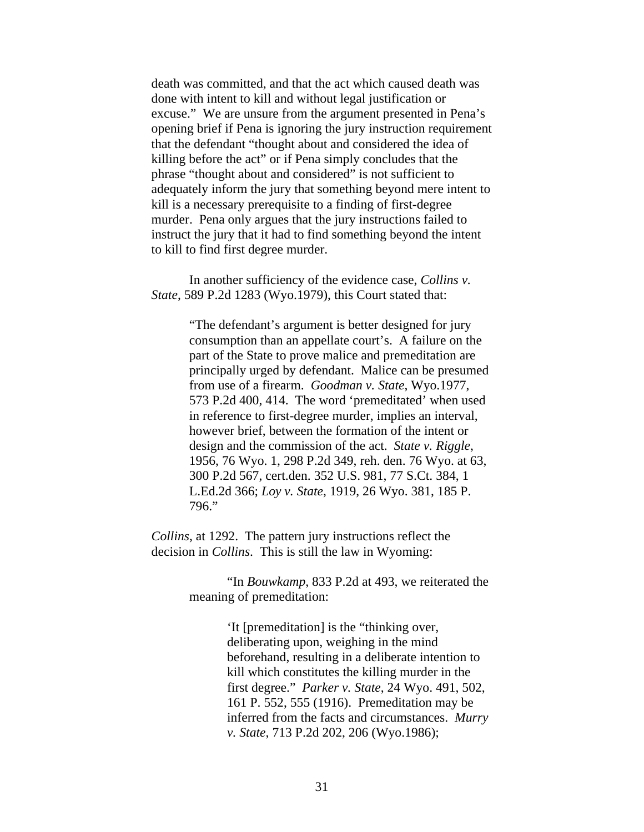death was committed, and that the act which caused death was done with intent to kill and without legal justification or excuse." We are unsure from the argument presented in Pena's opening brief if Pena is ignoring the jury instruction requirement that the defendant "thought about and considered the idea of killing before the act" or if Pena simply concludes that the phrase "thought about and considered" is not sufficient to adequately inform the jury that something beyond mere intent to kill is a necessary prerequisite to a finding of first-degree murder. Pena only argues that the jury instructions failed to instruct the jury that it had to find something beyond the intent to kill to find first degree murder.

In another sufficiency of the evidence case, *Collins v. State*, 589 P.2d 1283 (Wyo.1979), this Court stated that:

> "The defendant's argument is better designed for jury consumption than an appellate court's. A failure on the part of the State to prove malice and premeditation are principally urged by defendant. Malice can be presumed from use of a firearm. *Goodman v. State*, Wyo.1977, 573 P.2d 400, 414. The word 'premeditated' when used in reference to first-degree murder, implies an interval, however brief, between the formation of the intent or design and the commission of the act. *State v. Riggle*, 1956, 76 Wyo. 1, 298 P.2d 349, reh. den. 76 Wyo. at 63, 300 P.2d 567, cert.den. 352 U.S. 981, 77 S.Ct. 384, 1 L.Ed.2d 366; *Loy v. State*, 1919, 26 Wyo. 381, 185 P. 796."

*Collins*, at 1292. The pattern jury instructions reflect the decision in *Collins*. This is still the law in Wyoming:

> "In *Bouwkamp*, 833 P.2d at 493, we reiterated the meaning of premeditation:

> > 'It [premeditation] is the "thinking over, deliberating upon, weighing in the mind beforehand, resulting in a deliberate intention to kill which constitutes the killing murder in the first degree." *Parker v. State*, 24 Wyo. 491, 502, 161 P. 552, 555 (1916). Premeditation may be inferred from the facts and circumstances. *Murry v. State*, 713 P.2d 202, 206 (Wyo.1986);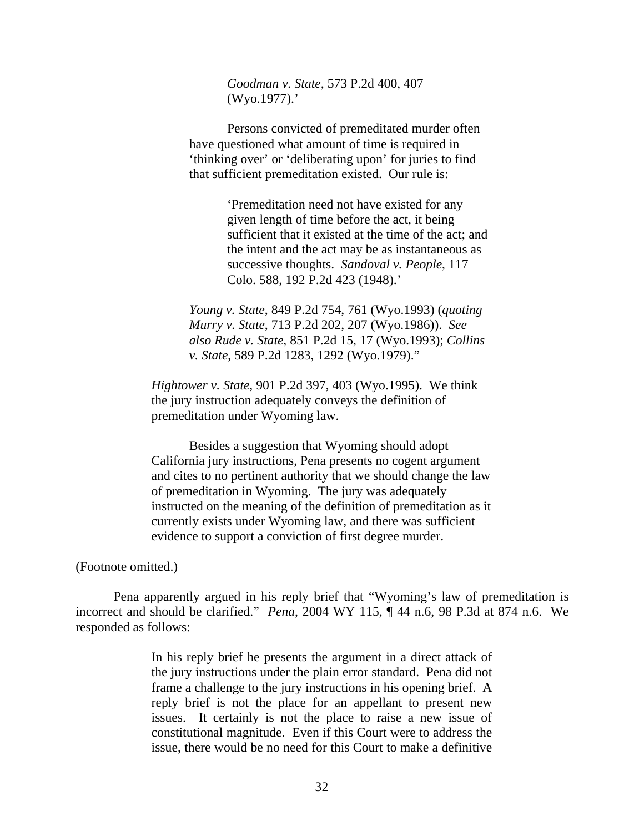*Goodman v. State*, 573 P.2d 400, 407 (Wyo.1977).'

Persons convicted of premeditated murder often have questioned what amount of time is required in 'thinking over' or 'deliberating upon' for juries to find that sufficient premeditation existed. Our rule is:

> 'Premeditation need not have existed for any given length of time before the act, it being sufficient that it existed at the time of the act; and the intent and the act may be as instantaneous as successive thoughts. *Sandoval v. People*, 117 Colo. 588, 192 P.2d 423 (1948).'

*Young v. State*, 849 P.2d 754, 761 (Wyo.1993) (*quoting Murry v. State*, 713 P.2d 202, 207 (Wyo.1986)). *See also Rude v. State*, 851 P.2d 15, 17 (Wyo.1993); *Collins v. State*, 589 P.2d 1283, 1292 (Wyo.1979)."

*Hightower v. State*, 901 P.2d 397, 403 (Wyo.1995). We think the jury instruction adequately conveys the definition of premeditation under Wyoming law.

Besides a suggestion that Wyoming should adopt California jury instructions, Pena presents no cogent argument and cites to no pertinent authority that we should change the law of premeditation in Wyoming. The jury was adequately instructed on the meaning of the definition of premeditation as it currently exists under Wyoming law, and there was sufficient evidence to support a conviction of first degree murder.

(Footnote omitted.)

Pena apparently argued in his reply brief that "Wyoming's law of premeditation is incorrect and should be clarified." *Pena*, 2004 WY 115, ¶ 44 n.6, 98 P.3d at 874 n.6. We responded as follows:

> In his reply brief he presents the argument in a direct attack of the jury instructions under the plain error standard. Pena did not frame a challenge to the jury instructions in his opening brief. A reply brief is not the place for an appellant to present new issues. It certainly is not the place to raise a new issue of constitutional magnitude. Even if this Court were to address the issue, there would be no need for this Court to make a definitive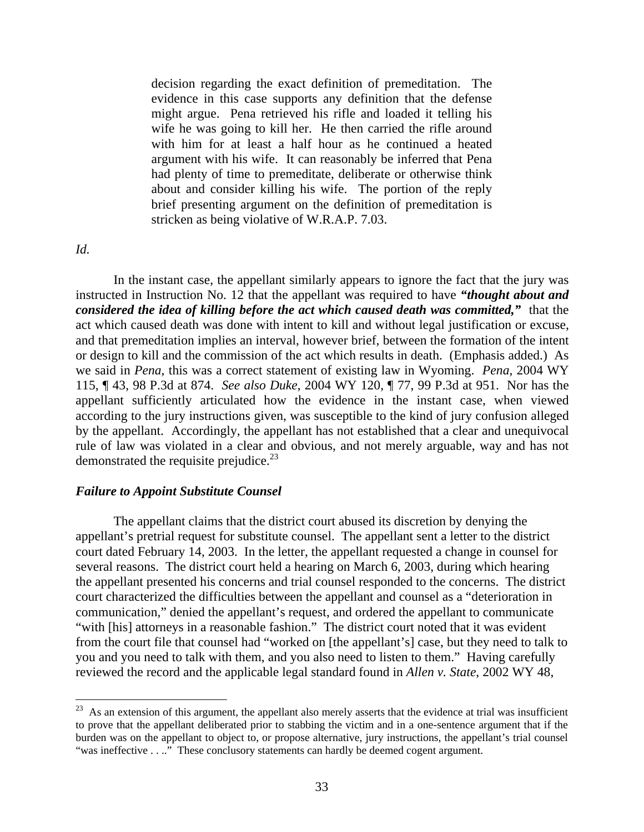decision regarding the exact definition of premeditation. The evidence in this case supports any definition that the defense might argue. Pena retrieved his rifle and loaded it telling his wife he was going to kill her. He then carried the rifle around with him for at least a half hour as he continued a heated argument with his wife. It can reasonably be inferred that Pena had plenty of time to premeditate, deliberate or otherwise think about and consider killing his wife. The portion of the reply brief presenting argument on the definition of premeditation is stricken as being violative of W.R.A.P. 7.03.

*Id.* 

 $\overline{a}$ 

In the instant case, the appellant similarly appears to ignore the fact that the jury was instructed in Instruction No. 12 that the appellant was required to have *"thought about and considered the idea of killing before the act which caused death was committed,"* that the act which caused death was done with intent to kill and without legal justification or excuse, and that premeditation implies an interval, however brief, between the formation of the intent or design to kill and the commission of the act which results in death. (Emphasis added.) As we said in *Pena*, this was a correct statement of existing law in Wyoming. *Pena*, 2004 WY 115, ¶ 43, 98 P.3d at 874. *See also Duke*, 2004 WY 120, ¶ 77, 99 P.3d at 951. Nor has the appellant sufficiently articulated how the evidence in the instant case, when viewed according to the jury instructions given, was susceptible to the kind of jury confusion alleged by the appellant. Accordingly, the appellant has not established that a clear and unequivocal rule of law was violated in a clear and obvious, and not merely arguable, way and has not demonstrated the requisite prejudice. $^{23}$ 

### *Failure to Appoint Substitute Counsel*

The appellant claims that the district court abused its discretion by denying the appellant's pretrial request for substitute counsel. The appellant sent a letter to the district court dated February 14, 2003. In the letter, the appellant requested a change in counsel for several reasons. The district court held a hearing on March 6, 2003, during which hearing the appellant presented his concerns and trial counsel responded to the concerns. The district court characterized the difficulties between the appellant and counsel as a "deterioration in communication," denied the appellant's request, and ordered the appellant to communicate "with [his] attorneys in a reasonable fashion." The district court noted that it was evident from the court file that counsel had "worked on [the appellant's] case, but they need to talk to you and you need to talk with them, and you also need to listen to them." Having carefully reviewed the record and the applicable legal standard found in *Allen v. State*, 2002 WY 48,

 $23$  As an extension of this argument, the appellant also merely asserts that the evidence at trial was insufficient to prove that the appellant deliberated prior to stabbing the victim and in a one-sentence argument that if the burden was on the appellant to object to, or propose alternative, jury instructions, the appellant's trial counsel "was ineffective . . .." These conclusory statements can hardly be deemed cogent argument.